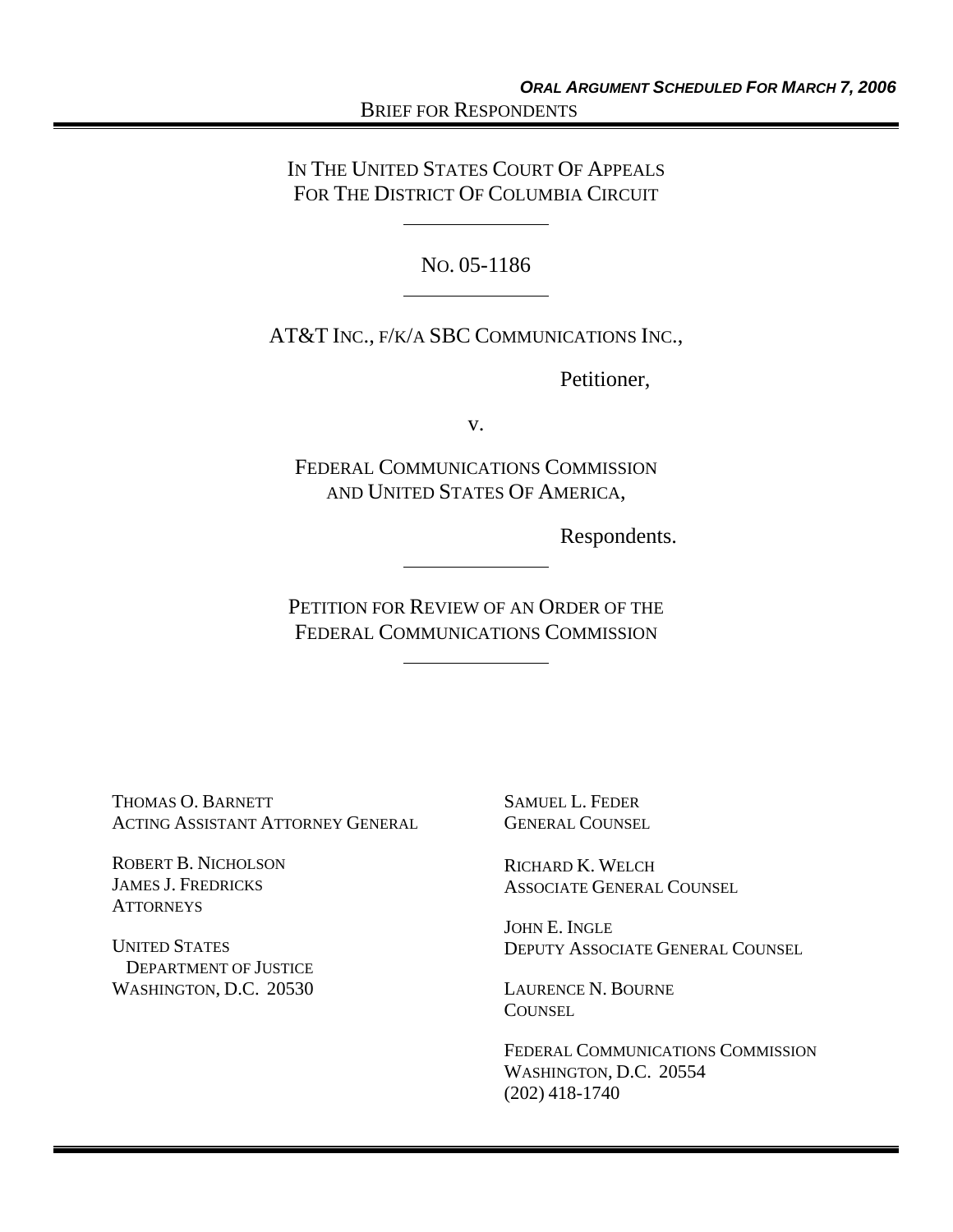IN THE UNITED STATES COURT OF APPEALS FOR THE DISTRICT OF COLUMBIA CIRCUIT

NO. 05-1186

AT&T INC., F/K/A SBC COMMUNICATIONS INC.,

Petitioner,

v.

FEDERAL COMMUNICATIONS COMMISSION AND UNITED STATES OF AMERICA,

Respondents.

PETITION FOR REVIEW OF AN ORDER OF THE FEDERAL COMMUNICATIONS COMMISSION

THOMAS O. BARNETT ACTING ASSISTANT ATTORNEY GENERAL

ROBERT B. NICHOLSON JAMES J. FREDRICKS **ATTORNEYS** 

UNITED STATES DEPARTMENT OF JUSTICE WASHINGTON, D.C. 20530

SAMUEL L. FEDER GENERAL COUNSEL

RICHARD K. WELCH ASSOCIATE GENERAL COUNSEL

JOHN E. INGLE DEPUTY ASSOCIATE GENERAL COUNSEL

LAURENCE N. BOURNE **COUNSEL** 

FEDERAL COMMUNICATIONS COMMISSION WASHINGTON, D.C. 20554 (202) 418-1740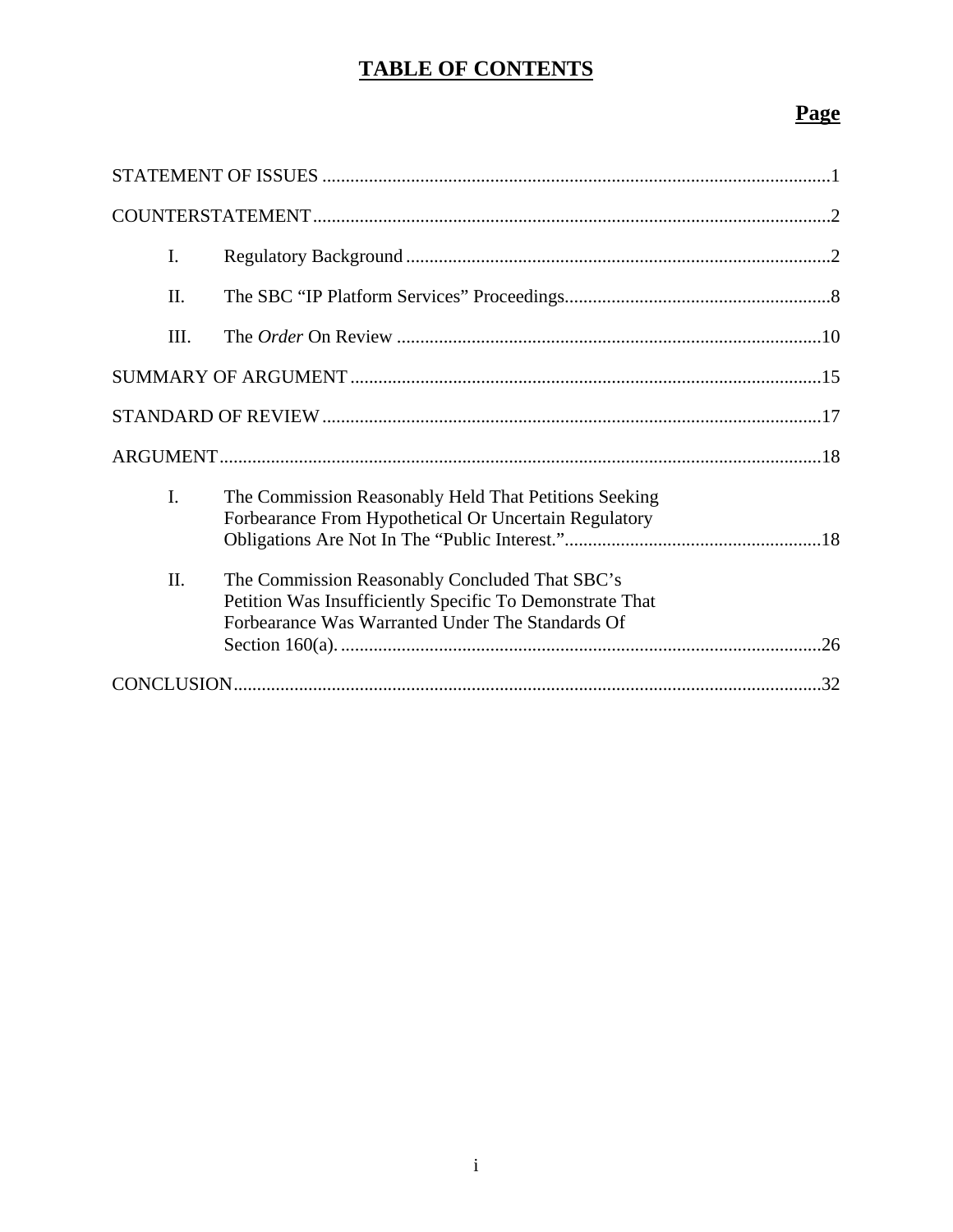# **TABLE OF CONTENTS**

| I.   |                                                                                                                                                                |
|------|----------------------------------------------------------------------------------------------------------------------------------------------------------------|
| Π.   |                                                                                                                                                                |
| III. |                                                                                                                                                                |
|      |                                                                                                                                                                |
|      |                                                                                                                                                                |
|      |                                                                                                                                                                |
| I.   | The Commission Reasonably Held That Petitions Seeking<br>Forbearance From Hypothetical Or Uncertain Regulatory                                                 |
| II.  | The Commission Reasonably Concluded That SBC's<br>Petition Was Insufficiently Specific To Demonstrate That<br>Forbearance Was Warranted Under The Standards Of |
|      |                                                                                                                                                                |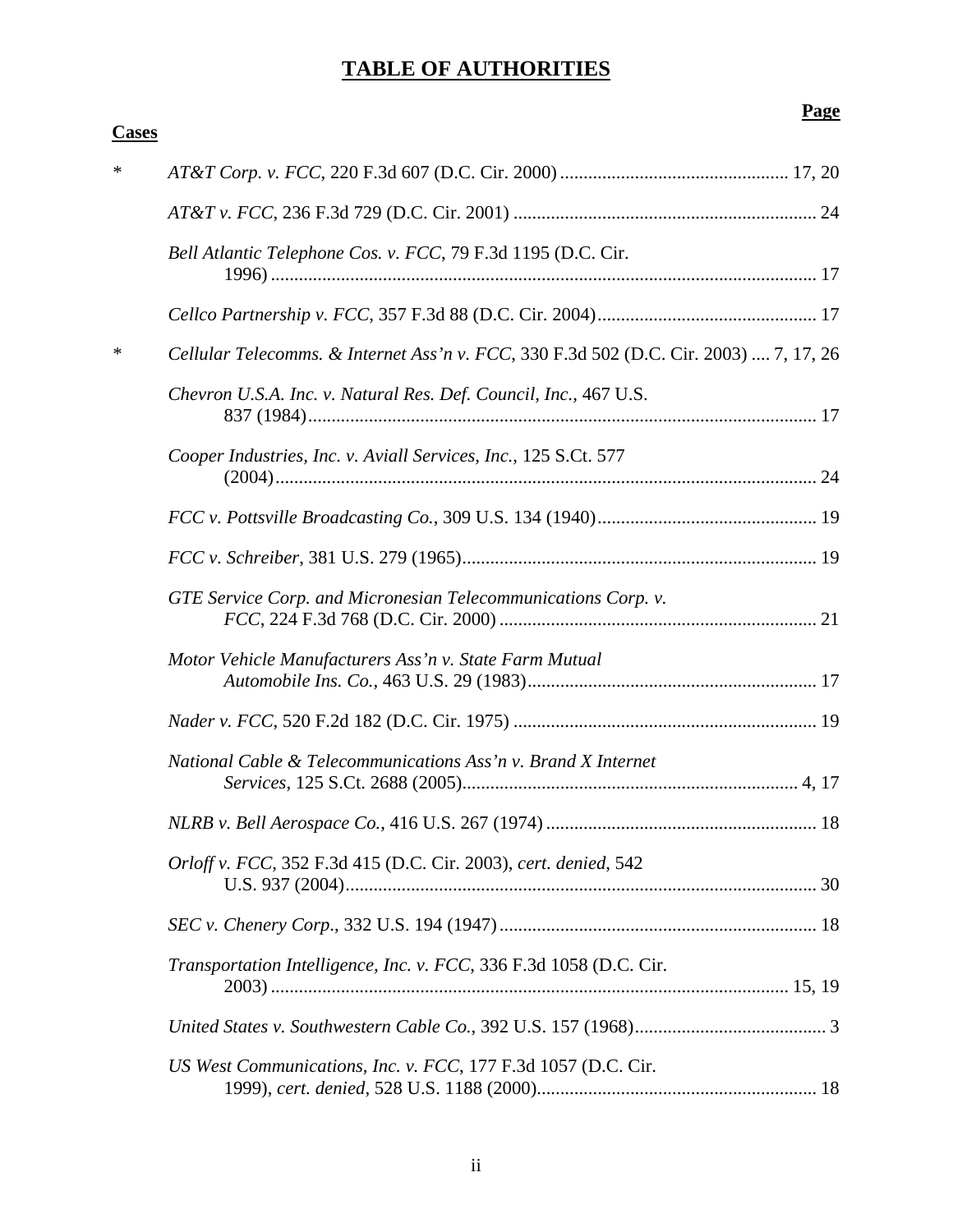# **TABLE OF AUTHORITIES**

| <b>Cases</b> |                                                                                       |
|--------------|---------------------------------------------------------------------------------------|
| ∗            |                                                                                       |
|              |                                                                                       |
|              | Bell Atlantic Telephone Cos. v. FCC, 79 F.3d 1195 (D.C. Cir.                          |
|              |                                                                                       |
| ∗            | Cellular Telecomms. & Internet Ass'n v. FCC, 330 F.3d 502 (D.C. Cir. 2003)  7, 17, 26 |
|              | Chevron U.S.A. Inc. v. Natural Res. Def. Council, Inc., 467 U.S.                      |
|              | Cooper Industries, Inc. v. Aviall Services, Inc., 125 S.Ct. 577                       |
|              |                                                                                       |
|              |                                                                                       |
|              | GTE Service Corp. and Micronesian Telecommunications Corp. v.                         |
|              | Motor Vehicle Manufacturers Ass'n v. State Farm Mutual                                |
|              |                                                                                       |
|              | National Cable & Telecommunications Ass'n v. Brand X Internet                         |
|              |                                                                                       |
|              | Orloff v. FCC, 352 F.3d 415 (D.C. Cir. 2003), cert. denied, 542                       |
|              |                                                                                       |
|              | Transportation Intelligence, Inc. v. FCC, 336 F.3d 1058 (D.C. Cir.                    |
|              |                                                                                       |
|              | US West Communications, Inc. v. FCC, 177 F.3d 1057 (D.C. Cir.                         |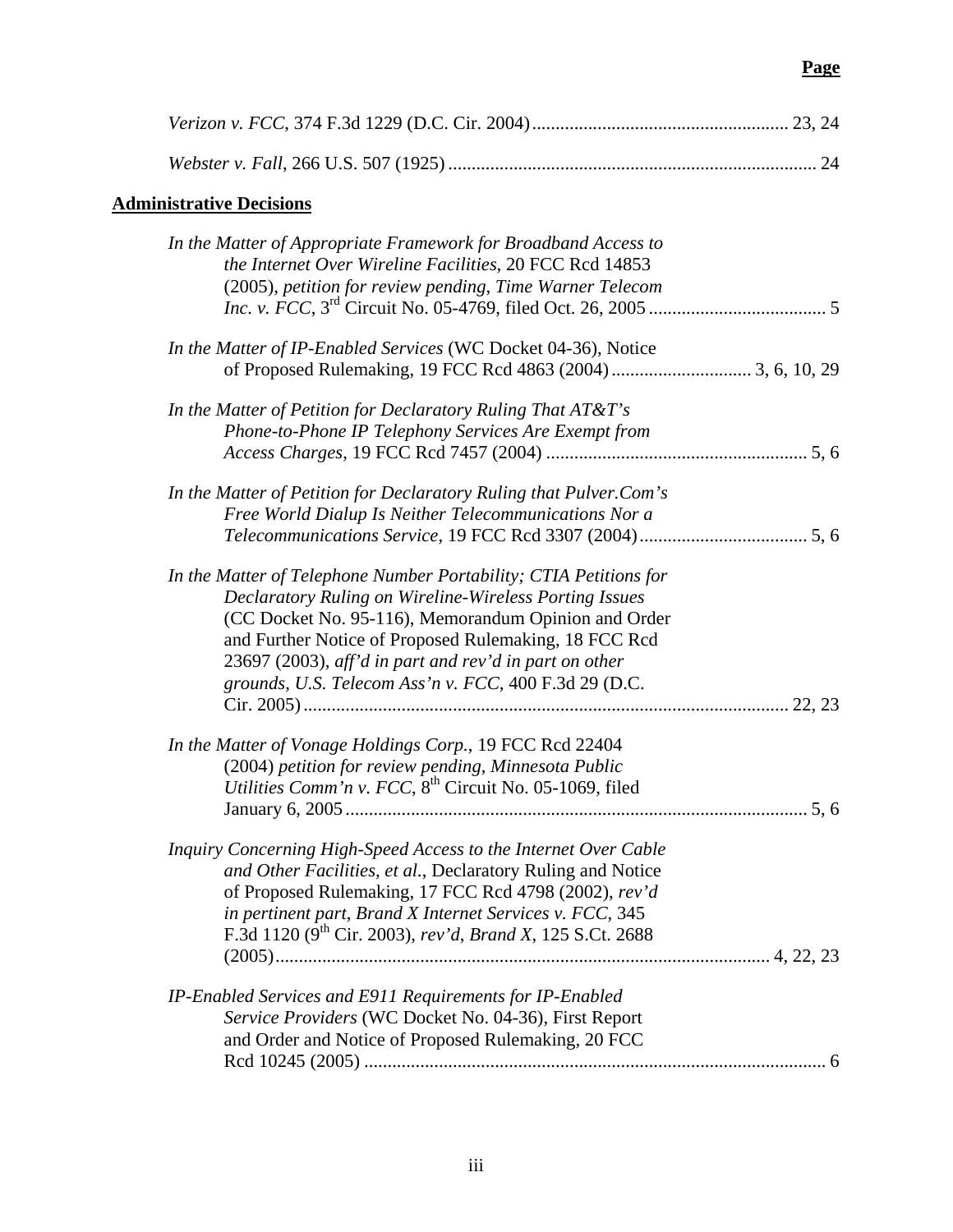| <b>Administrative Decisions</b>                                                                                                                                                                                                                                                                                                                                 |     |
|-----------------------------------------------------------------------------------------------------------------------------------------------------------------------------------------------------------------------------------------------------------------------------------------------------------------------------------------------------------------|-----|
| In the Matter of Appropriate Framework for Broadband Access to<br>the Internet Over Wireline Facilities, 20 FCC Rcd 14853<br>(2005), petition for review pending, Time Warner Telecom                                                                                                                                                                           |     |
| In the Matter of IP-Enabled Services (WC Docket 04-36), Notice                                                                                                                                                                                                                                                                                                  |     |
| In the Matter of Petition for Declaratory Ruling That AT&T's<br>Phone-to-Phone IP Telephony Services Are Exempt from                                                                                                                                                                                                                                            |     |
| In the Matter of Petition for Declaratory Ruling that Pulver.Com's<br>Free World Dialup Is Neither Telecommunications Nor a                                                                                                                                                                                                                                     |     |
| In the Matter of Telephone Number Portability; CTIA Petitions for<br>Declaratory Ruling on Wireline-Wireless Porting Issues<br>(CC Docket No. 95-116), Memorandum Opinion and Order<br>and Further Notice of Proposed Rulemaking, 18 FCC Rcd<br>23697 (2003), aff'd in part and rev'd in part on other<br>grounds, U.S. Telecom Ass'n v. FCC, 400 F.3d 29 (D.C. |     |
| In the Matter of Vonage Holdings Corp., 19 FCC Rcd 22404<br>(2004) petition for review pending, Minnesota Public<br>Utilities Comm'n v. FCC, 8 <sup>th</sup> Circuit No. 05-1069, filed                                                                                                                                                                         | 5.6 |
| Inquiry Concerning High-Speed Access to the Internet Over Cable<br>and Other Facilities, et al., Declaratory Ruling and Notice<br>of Proposed Rulemaking, 17 FCC Rcd 4798 (2002), rev'd<br>in pertinent part, Brand X Internet Services v. FCC, 345<br>F.3d 1120 (9 <sup>th</sup> Cir. 2003), rev'd, Brand X, 125 S.Ct. 2688                                    |     |
| IP-Enabled Services and E911 Requirements for IP-Enabled<br>Service Providers (WC Docket No. 04-36), First Report<br>and Order and Notice of Proposed Rulemaking, 20 FCC                                                                                                                                                                                        |     |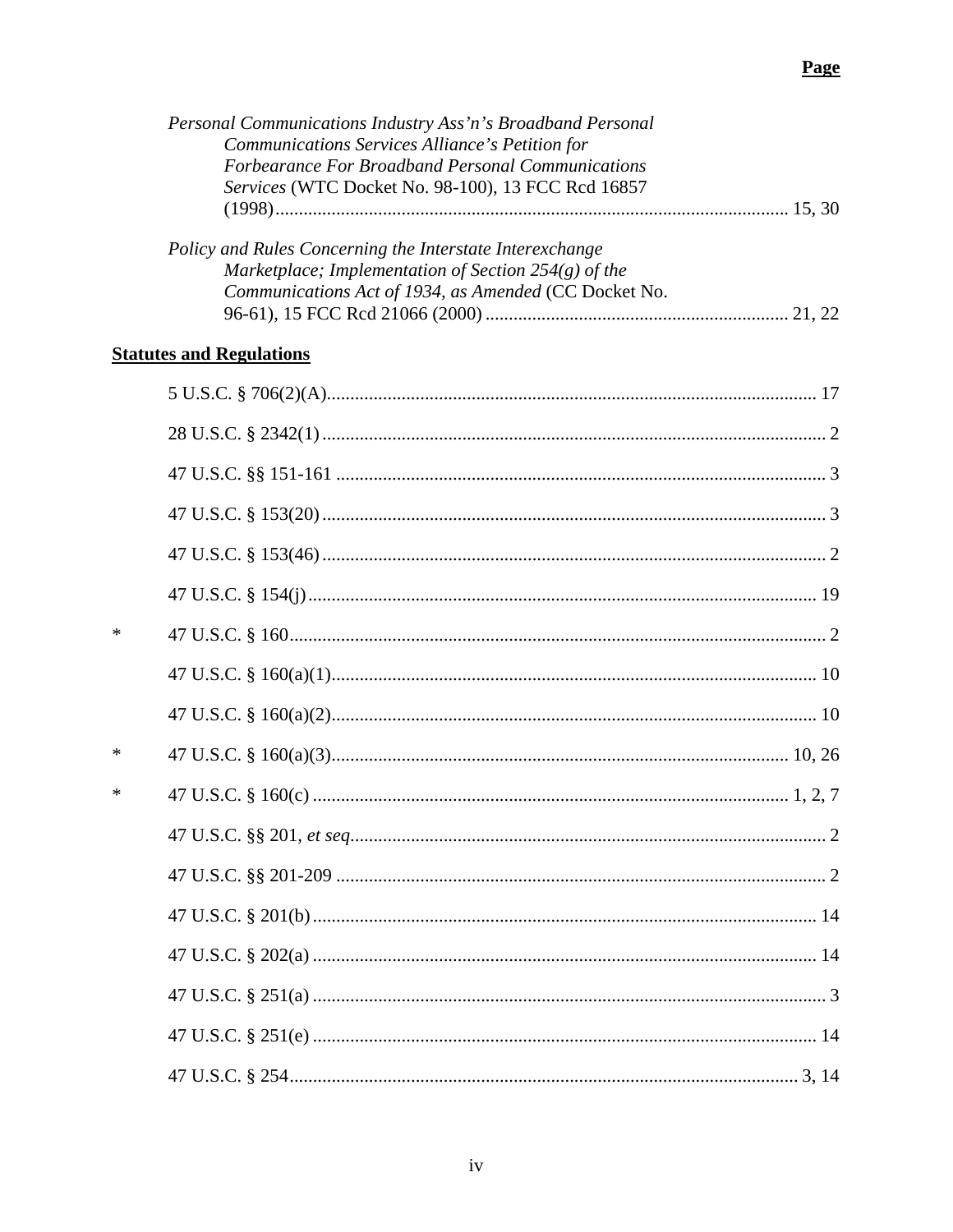|   | Personal Communications Industry Ass'n's Broadband Personal<br>Communications Services Alliance's Petition for<br>Forbearance For Broadband Personal Communications<br>Services (WTC Docket No. 98-100), 13 FCC Rcd 16857 |  |
|---|---------------------------------------------------------------------------------------------------------------------------------------------------------------------------------------------------------------------------|--|
|   | Policy and Rules Concerning the Interstate Interexchange<br>Marketplace; Implementation of Section 254(g) of the<br>Communications Act of 1934, as Amended (CC Docket No.                                                 |  |
|   | <b>Statutes and Regulations</b>                                                                                                                                                                                           |  |
|   |                                                                                                                                                                                                                           |  |
|   |                                                                                                                                                                                                                           |  |
|   |                                                                                                                                                                                                                           |  |
|   |                                                                                                                                                                                                                           |  |
|   |                                                                                                                                                                                                                           |  |
|   |                                                                                                                                                                                                                           |  |
| ∗ |                                                                                                                                                                                                                           |  |
|   |                                                                                                                                                                                                                           |  |
|   |                                                                                                                                                                                                                           |  |
| ∗ |                                                                                                                                                                                                                           |  |
| ∗ |                                                                                                                                                                                                                           |  |
|   |                                                                                                                                                                                                                           |  |
|   |                                                                                                                                                                                                                           |  |
|   |                                                                                                                                                                                                                           |  |
|   |                                                                                                                                                                                                                           |  |
|   |                                                                                                                                                                                                                           |  |
|   |                                                                                                                                                                                                                           |  |
|   |                                                                                                                                                                                                                           |  |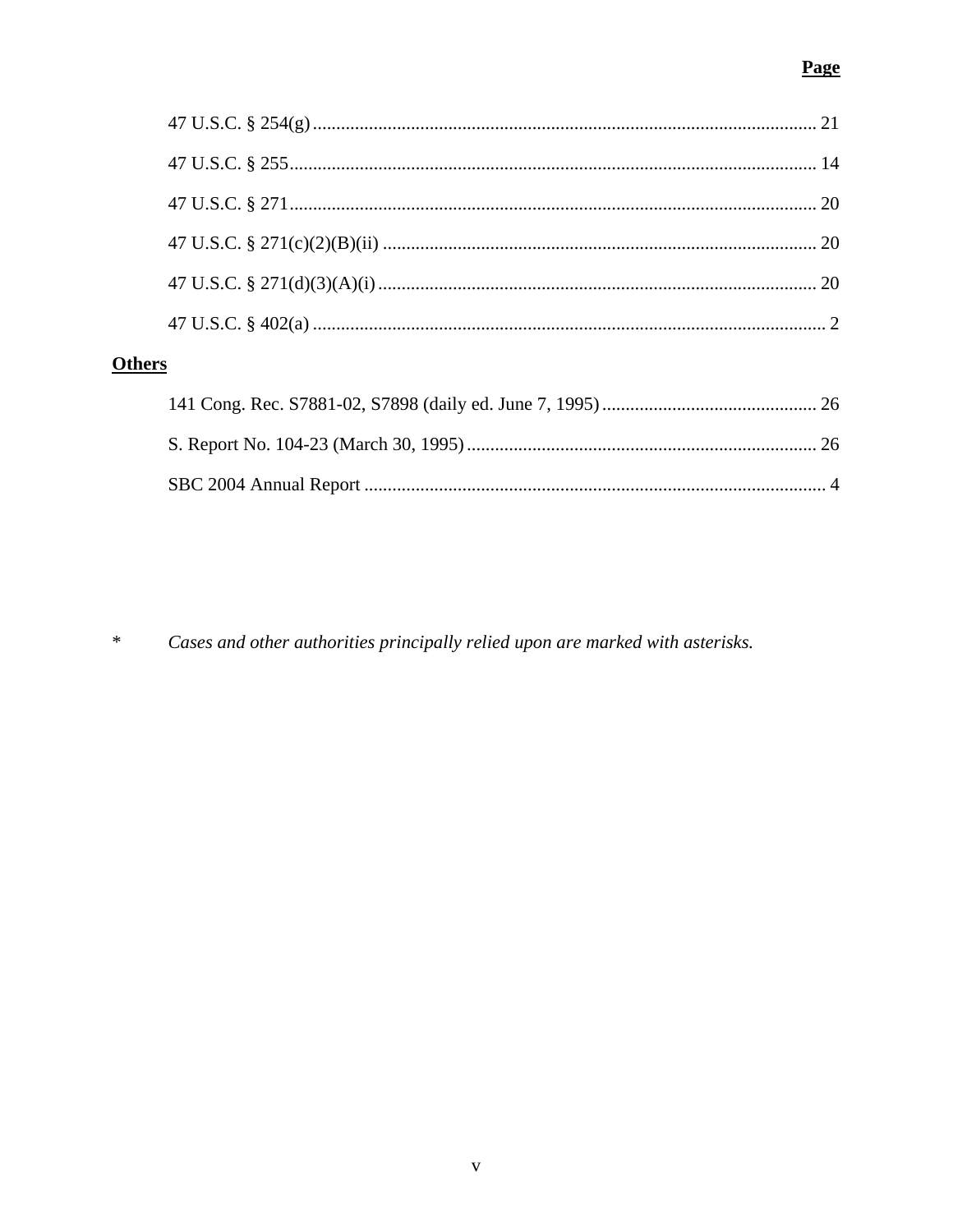# **Page**

| <b>)thers</b> |  |
|---------------|--|
|               |  |
|               |  |
|               |  |
|               |  |
|               |  |

 $\ast$ Cases and other authorities principally relied upon are marked with asterisks.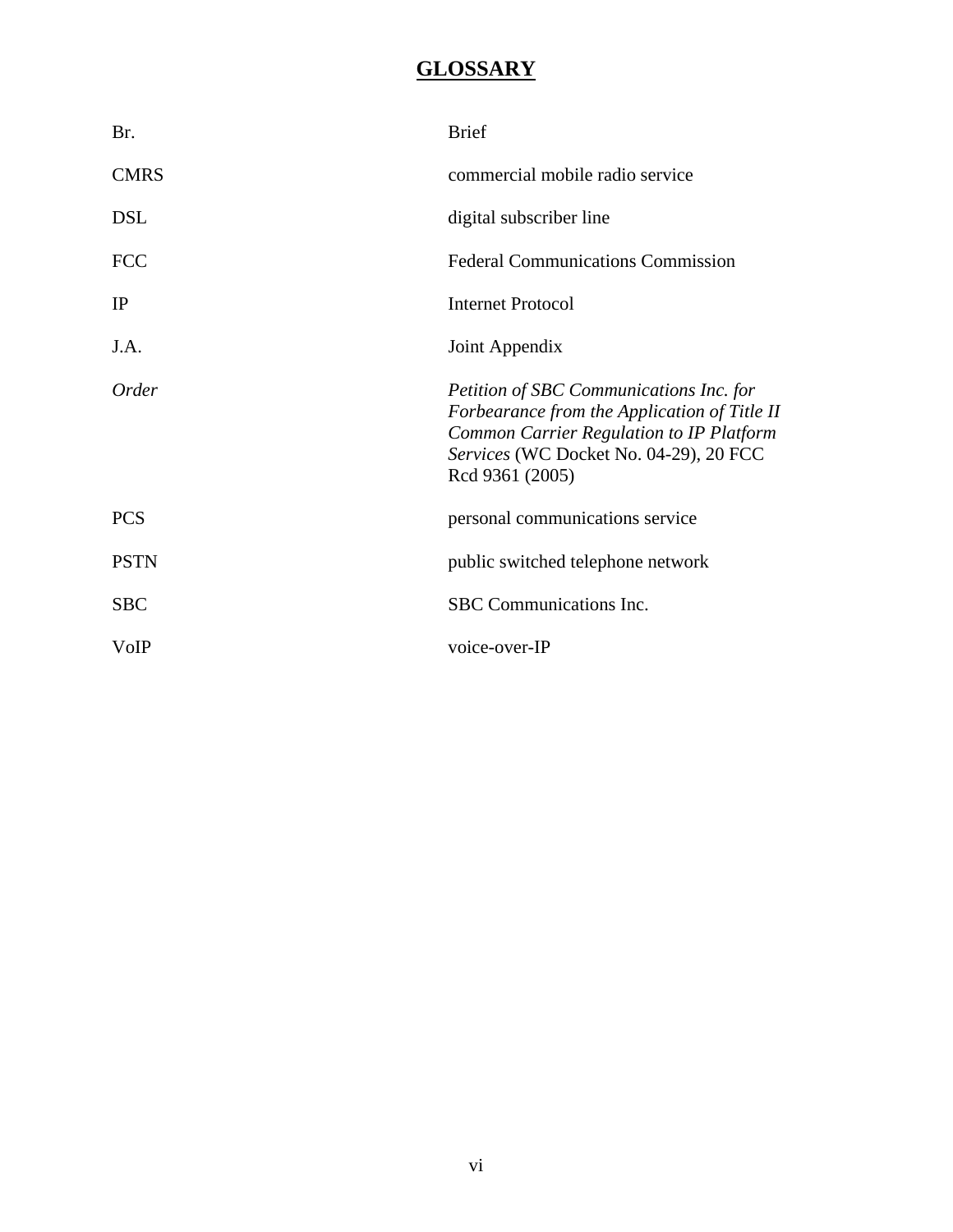# **GLOSSARY**

| Br.          | <b>Brief</b>                                                                                                                                                                                            |
|--------------|---------------------------------------------------------------------------------------------------------------------------------------------------------------------------------------------------------|
| <b>CMRS</b>  | commercial mobile radio service                                                                                                                                                                         |
| <b>DSL</b>   | digital subscriber line                                                                                                                                                                                 |
| <b>FCC</b>   | <b>Federal Communications Commission</b>                                                                                                                                                                |
| IP           | <b>Internet Protocol</b>                                                                                                                                                                                |
| J.A.         | Joint Appendix                                                                                                                                                                                          |
| <i>Order</i> | Petition of SBC Communications Inc. for<br>Forbearance from the Application of Title II<br><b>Common Carrier Regulation to IP Platform</b><br>Services (WC Docket No. 04-29), 20 FCC<br>Rcd 9361 (2005) |
| <b>PCS</b>   | personal communications service                                                                                                                                                                         |
| <b>PSTN</b>  | public switched telephone network                                                                                                                                                                       |
| <b>SBC</b>   | SBC Communications Inc.                                                                                                                                                                                 |
| VoIP         | voice-over-IP                                                                                                                                                                                           |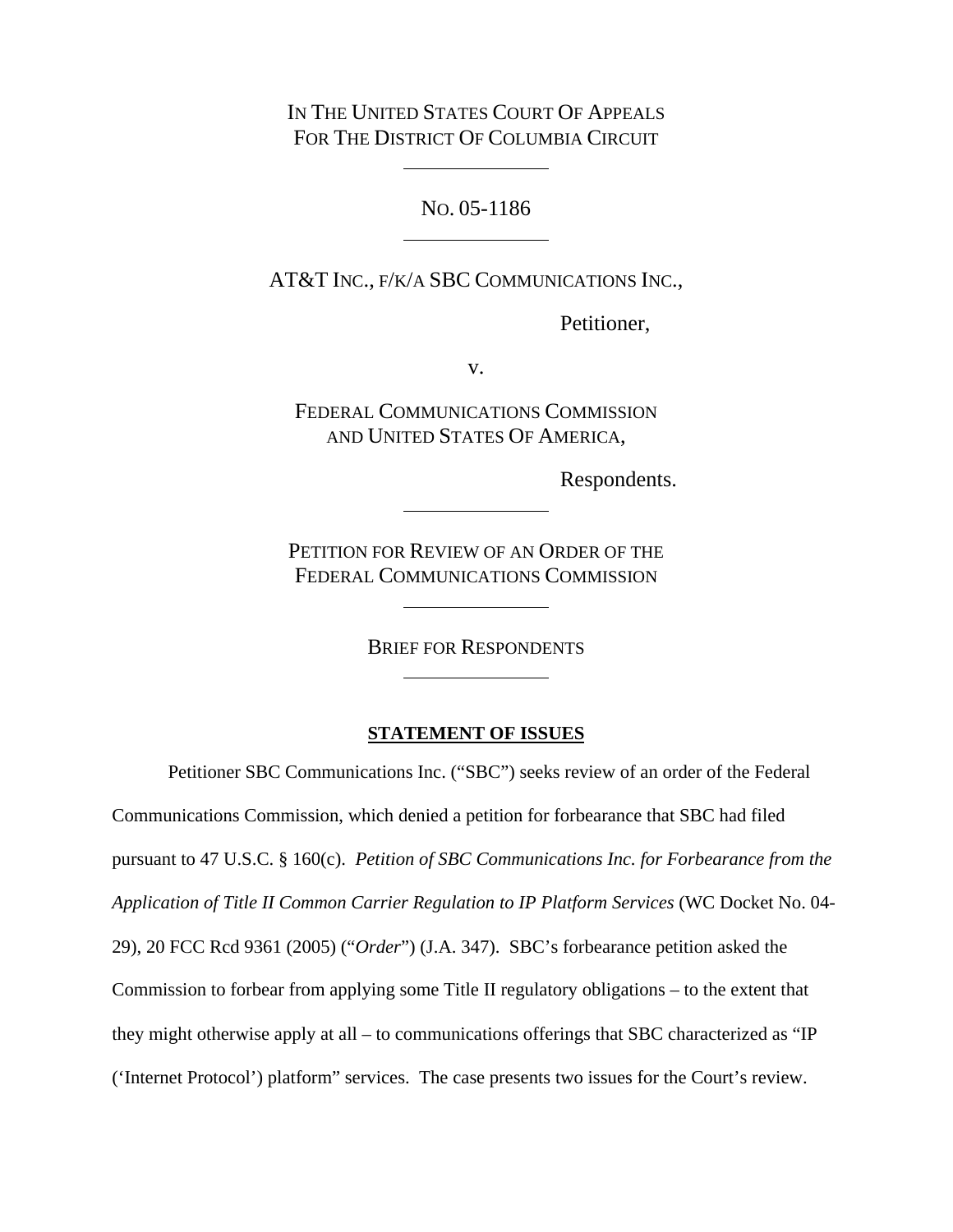IN THE UNITED STATES COURT OF APPEALS FOR THE DISTRICT OF COLUMBIA CIRCUIT

NO. 05-1186

AT&T INC., F/K/A SBC COMMUNICATIONS INC.,

Petitioner,

v.

FEDERAL COMMUNICATIONS COMMISSION AND UNITED STATES OF AMERICA,

Respondents.

PETITION FOR REVIEW OF AN ORDER OF THE FEDERAL COMMUNICATIONS COMMISSION

BRIEF FOR RESPONDENTS

### **STATEMENT OF ISSUES**

Petitioner SBC Communications Inc. ("SBC") seeks review of an order of the Federal Communications Commission, which denied a petition for forbearance that SBC had filed pursuant to 47 U.S.C. § 160(c). *Petition of SBC Communications Inc. for Forbearance from the Application of Title II Common Carrier Regulation to IP Platform Services* (WC Docket No. 04- 29), 20 FCC Rcd 9361 (2005) ("*Order*") (J.A. 347). SBC's forbearance petition asked the Commission to forbear from applying some Title II regulatory obligations – to the extent that they might otherwise apply at all – to communications offerings that SBC characterized as "IP ('Internet Protocol') platform" services. The case presents two issues for the Court's review.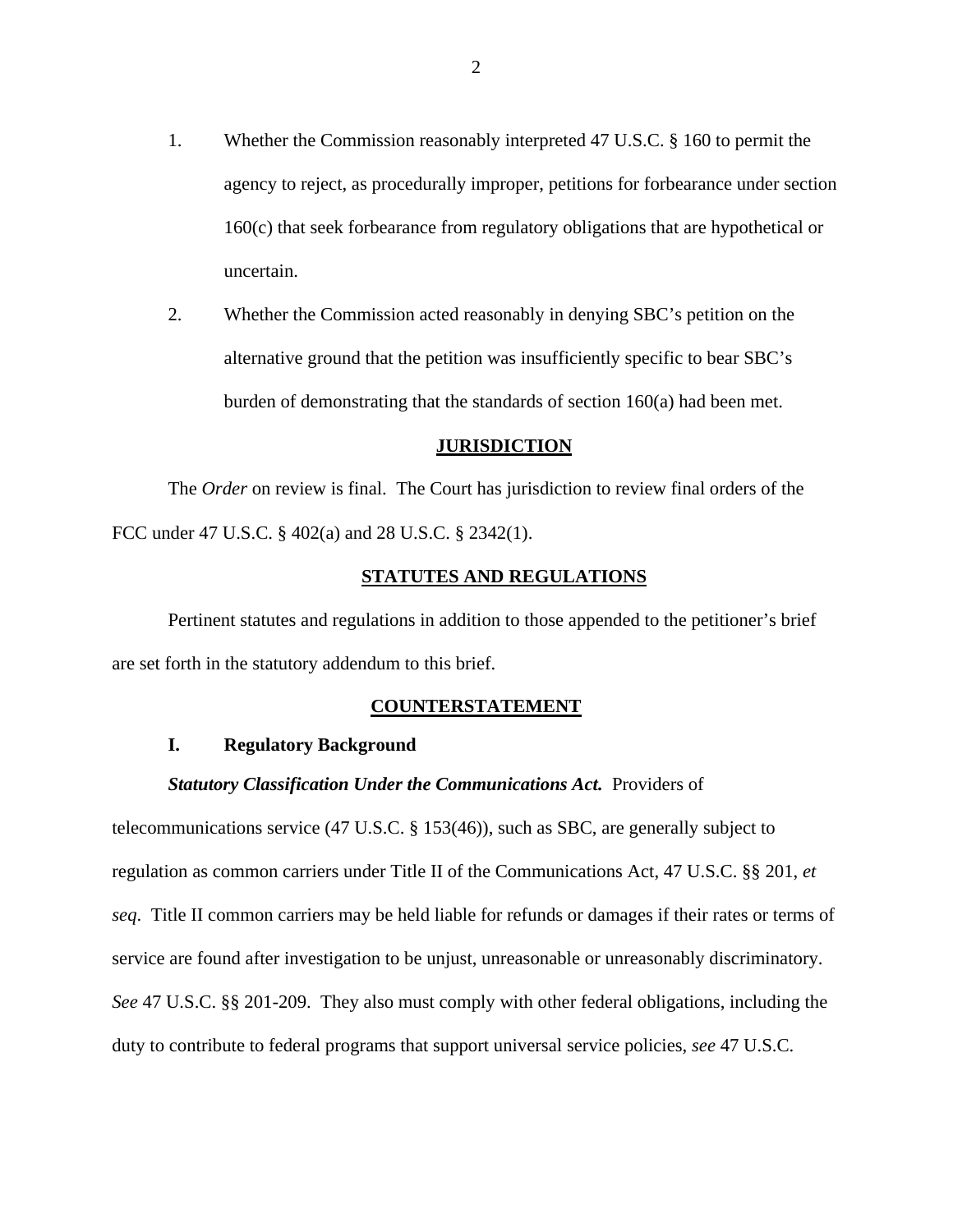- 1. Whether the Commission reasonably interpreted 47 U.S.C. § 160 to permit the agency to reject, as procedurally improper, petitions for forbearance under section 160(c) that seek forbearance from regulatory obligations that are hypothetical or uncertain.
- 2. Whether the Commission acted reasonably in denying SBC's petition on the alternative ground that the petition was insufficiently specific to bear SBC's burden of demonstrating that the standards of section 160(a) had been met.

### **JURISDICTION**

The *Order* on review is final. The Court has jurisdiction to review final orders of the FCC under 47 U.S.C. § 402(a) and 28 U.S.C. § 2342(1).

### **STATUTES AND REGULATIONS**

Pertinent statutes and regulations in addition to those appended to the petitioner's brief are set forth in the statutory addendum to this brief.

#### **COUNTERSTATEMENT**

## **I. Regulatory Background**

#### *Statutory Classification Under the Communications Act.* Providers of

telecommunications service (47 U.S.C. § 153(46)), such as SBC, are generally subject to regulation as common carriers under Title II of the Communications Act, 47 U.S.C. §§ 201, *et seq*. Title II common carriers may be held liable for refunds or damages if their rates or terms of service are found after investigation to be unjust, unreasonable or unreasonably discriminatory. *See* 47 U.S.C. §§ 201-209. They also must comply with other federal obligations, including the duty to contribute to federal programs that support universal service policies, *see* 47 U.S.C.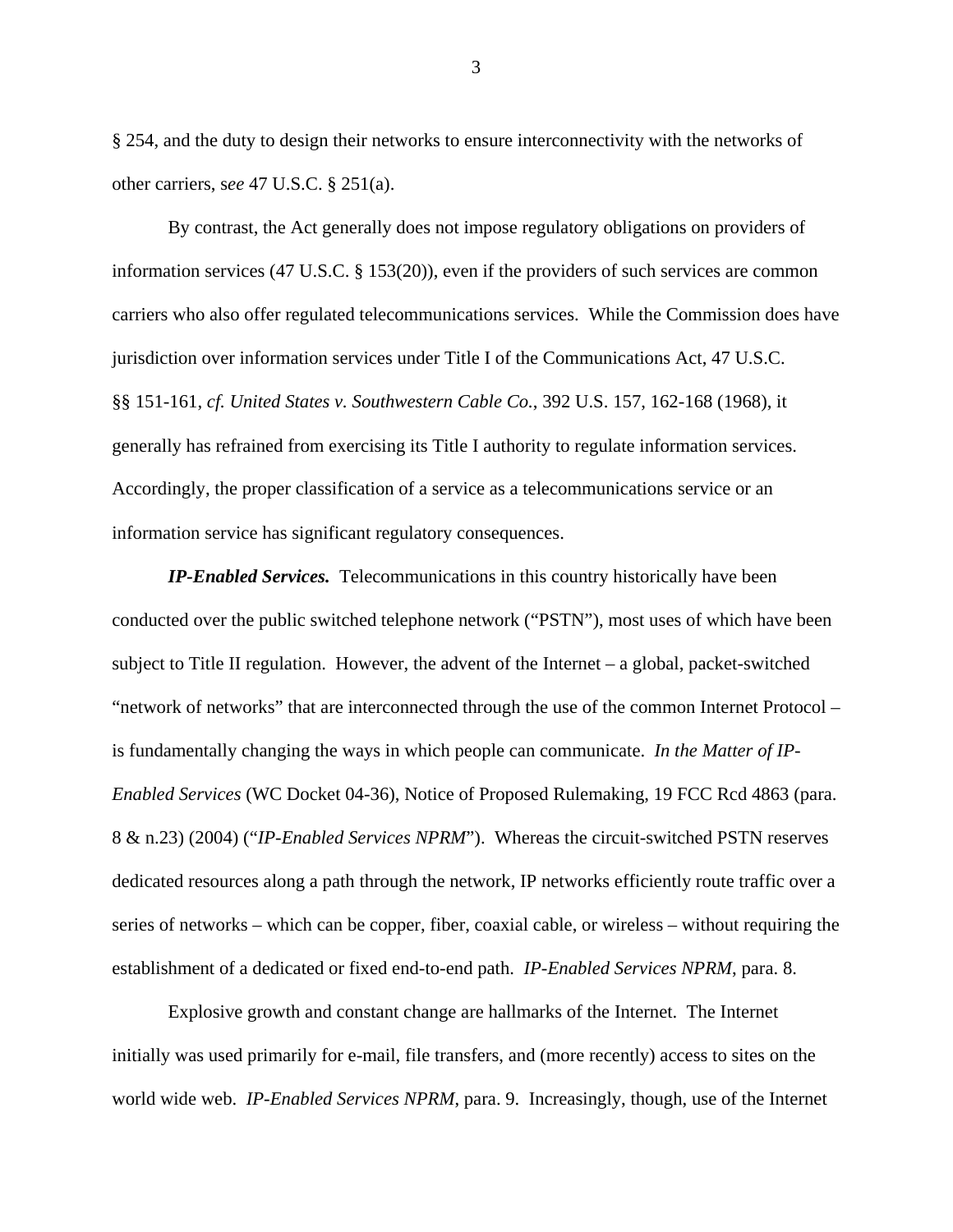§ 254, and the duty to design their networks to ensure interconnectivity with the networks of other carriers, s*ee* 47 U.S.C. § 251(a).

By contrast, the Act generally does not impose regulatory obligations on providers of information services (47 U.S.C. § 153(20)), even if the providers of such services are common carriers who also offer regulated telecommunications services. While the Commission does have jurisdiction over information services under Title I of the Communications Act, 47 U.S.C. §§ 151-161, *cf. United States v. Southwestern Cable Co.*, 392 U.S. 157, 162-168 (1968), it generally has refrained from exercising its Title I authority to regulate information services. Accordingly, the proper classification of a service as a telecommunications service or an information service has significant regulatory consequences.

*IP-Enabled Services.* Telecommunications in this country historically have been conducted over the public switched telephone network ("PSTN"), most uses of which have been subject to Title II regulation. However, the advent of the Internet – a global, packet-switched "network of networks" that are interconnected through the use of the common Internet Protocol – is fundamentally changing the ways in which people can communicate. *In the Matter of IP-Enabled Services* (WC Docket 04-36), Notice of Proposed Rulemaking, 19 FCC Rcd 4863 (para. 8 & n.23) (2004) ("*IP-Enabled Services NPRM*"). Whereas the circuit-switched PSTN reserves dedicated resources along a path through the network, IP networks efficiently route traffic over a series of networks – which can be copper, fiber, coaxial cable, or wireless – without requiring the establishment of a dedicated or fixed end-to-end path. *IP-Enabled Services NPRM*, para. 8.

Explosive growth and constant change are hallmarks of the Internet. The Internet initially was used primarily for e-mail, file transfers, and (more recently) access to sites on the world wide web. *IP-Enabled Services NPRM*, para. 9. Increasingly, though, use of the Internet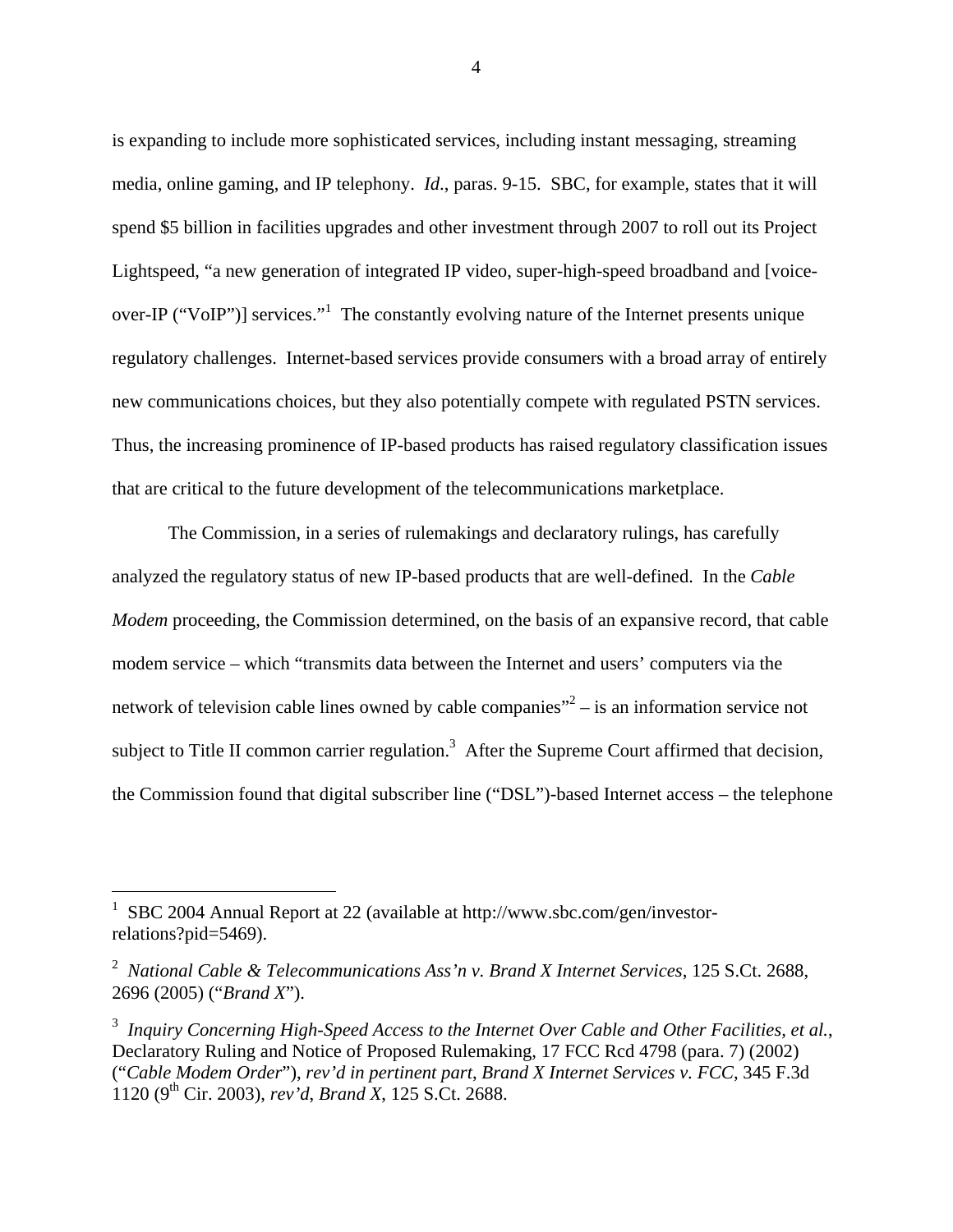is expanding to include more sophisticated services, including instant messaging, streaming media, online gaming, and IP telephony. *Id*., paras. 9-15. SBC, for example, states that it will spend \$5 billion in facilities upgrades and other investment through 2007 to roll out its Project Lightspeed, "a new generation of integrated IP video, super-high-speed broadband and [voiceover-IP ("VoIP")] services."<sup>1</sup> The constantly evolving nature of the Internet presents unique regulatory challenges. Internet-based services provide consumers with a broad array of entirely new communications choices, but they also potentially compete with regulated PSTN services. Thus, the increasing prominence of IP-based products has raised regulatory classification issues that are critical to the future development of the telecommunications marketplace.

The Commission, in a series of rulemakings and declaratory rulings, has carefully analyzed the regulatory status of new IP-based products that are well-defined. In the *Cable Modem* proceeding, the Commission determined, on the basis of an expansive record, that cable modem service – which "transmits data between the Internet and users' computers via the network of television cable lines owned by cable companies $^{2}$  – is an information service not subject to Title II common carrier regulation.<sup>3</sup> After the Supreme Court affirmed that decision, the Commission found that digital subscriber line ("DSL")-based Internet access – the telephone

 $\overline{a}$ 

<sup>1</sup> SBC 2004 Annual Report at 22 (available at http://www.sbc.com/gen/investorrelations?pid=5469).

<sup>2</sup> *National Cable & Telecommunications Ass'n v. Brand X Internet Services*, 125 S.Ct. 2688, 2696 (2005) ("*Brand X*").

<sup>3</sup> *Inquiry Concerning High-Speed Access to the Internet Over Cable and Other Facilities, et al.*, Declaratory Ruling and Notice of Proposed Rulemaking, 17 FCC Rcd 4798 (para. 7) (2002) ("*Cable Modem Order*"), *rev'd in pertinent part*, *Brand X Internet Services v. FCC*, 345 F.3d 1120 (9th Cir. 2003), *rev'd*, *Brand X*, 125 S.Ct. 2688.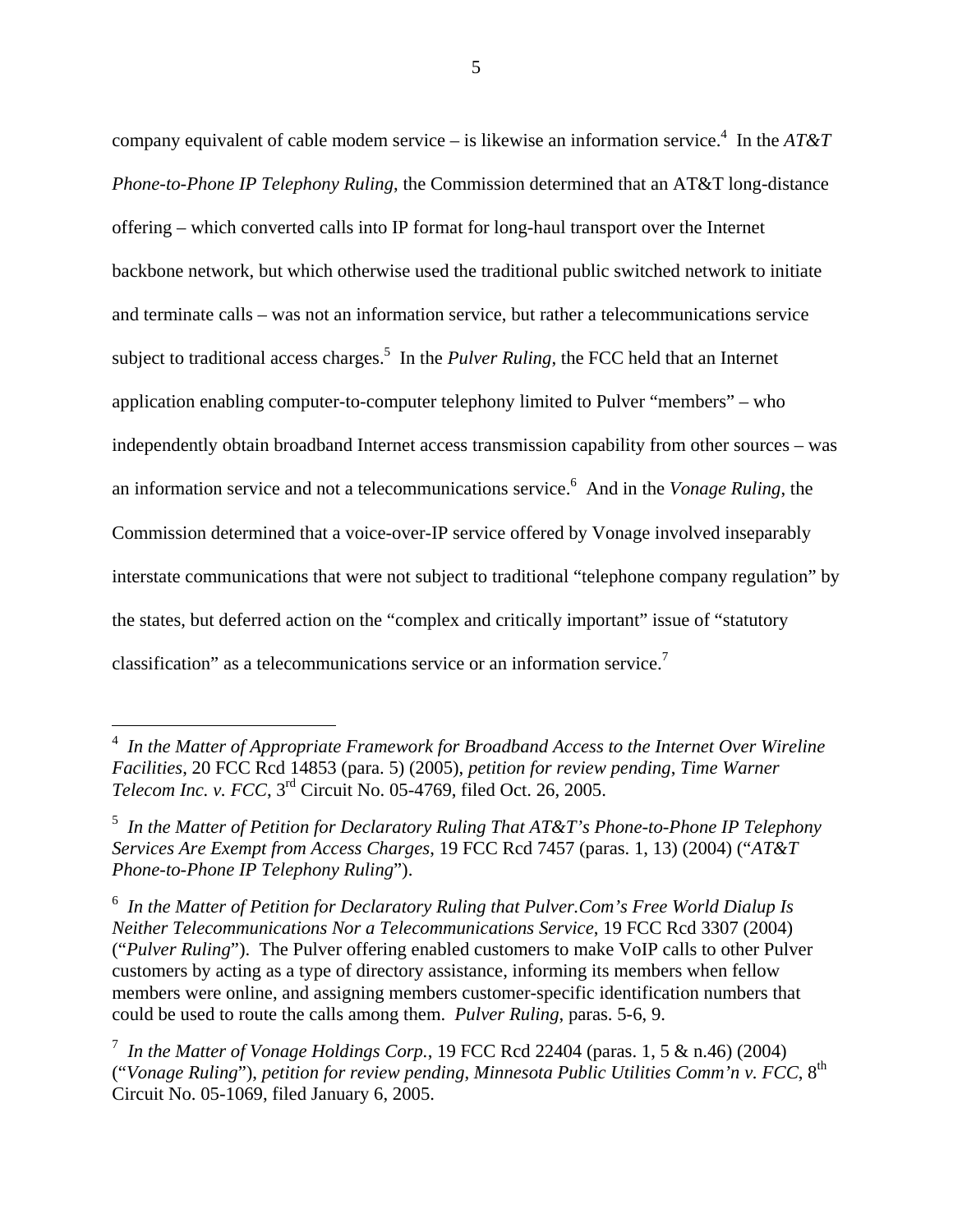company equivalent of cable modem service – is likewise an information service.<sup>4</sup> In the  $AT\&T$ *Phone-to-Phone IP Telephony Ruling*, the Commission determined that an AT&T long-distance offering – which converted calls into IP format for long-haul transport over the Internet backbone network, but which otherwise used the traditional public switched network to initiate and terminate calls – was not an information service, but rather a telecommunications service subject to traditional access charges.<sup>5</sup> In the *Pulver Ruling*, the FCC held that an Internet application enabling computer-to-computer telephony limited to Pulver "members" – who independently obtain broadband Internet access transmission capability from other sources – was an information service and not a telecommunications service.6 And in the *Vonage Ruling*, the Commission determined that a voice-over-IP service offered by Vonage involved inseparably interstate communications that were not subject to traditional "telephone company regulation" by the states, but deferred action on the "complex and critically important" issue of "statutory classification" as a telecommunications service or an information service.<sup>7</sup>

 4 *In the Matter of Appropriate Framework for Broadband Access to the Internet Over Wireline Facilities*, 20 FCC Rcd 14853 (para. 5) (2005), *petition for review pending*, *Time Warner Telecom Inc. v. FCC*, 3rd Circuit No. 05-4769, filed Oct. 26, 2005.

<sup>5</sup> *In the Matter of Petition for Declaratory Ruling That AT&T's Phone-to-Phone IP Telephony Services Are Exempt from Access Charges*, 19 FCC Rcd 7457 (paras. 1, 13) (2004) ("*AT&T Phone-to-Phone IP Telephony Ruling*").

<sup>&</sup>lt;sup>6</sup> In the Matter of Petition for Declaratory Ruling that Pulver.Com's Free World Dialup Is *Neither Telecommunications Nor a Telecommunications Service*, 19 FCC Rcd 3307 (2004) ("*Pulver Ruling*"). The Pulver offering enabled customers to make VoIP calls to other Pulver customers by acting as a type of directory assistance, informing its members when fellow members were online, and assigning members customer-specific identification numbers that could be used to route the calls among them. *Pulver Ruling*, paras. 5-6, 9.

<sup>7</sup> *In the Matter of Vonage Holdings Corp.*, 19 FCC Rcd 22404 (paras. 1, 5 & n.46) (2004) ("*Vonage Ruling*"), *petition for review pending*, *Minnesota Public Utilities Comm'n v. FCC*, 8th Circuit No. 05-1069, filed January 6, 2005.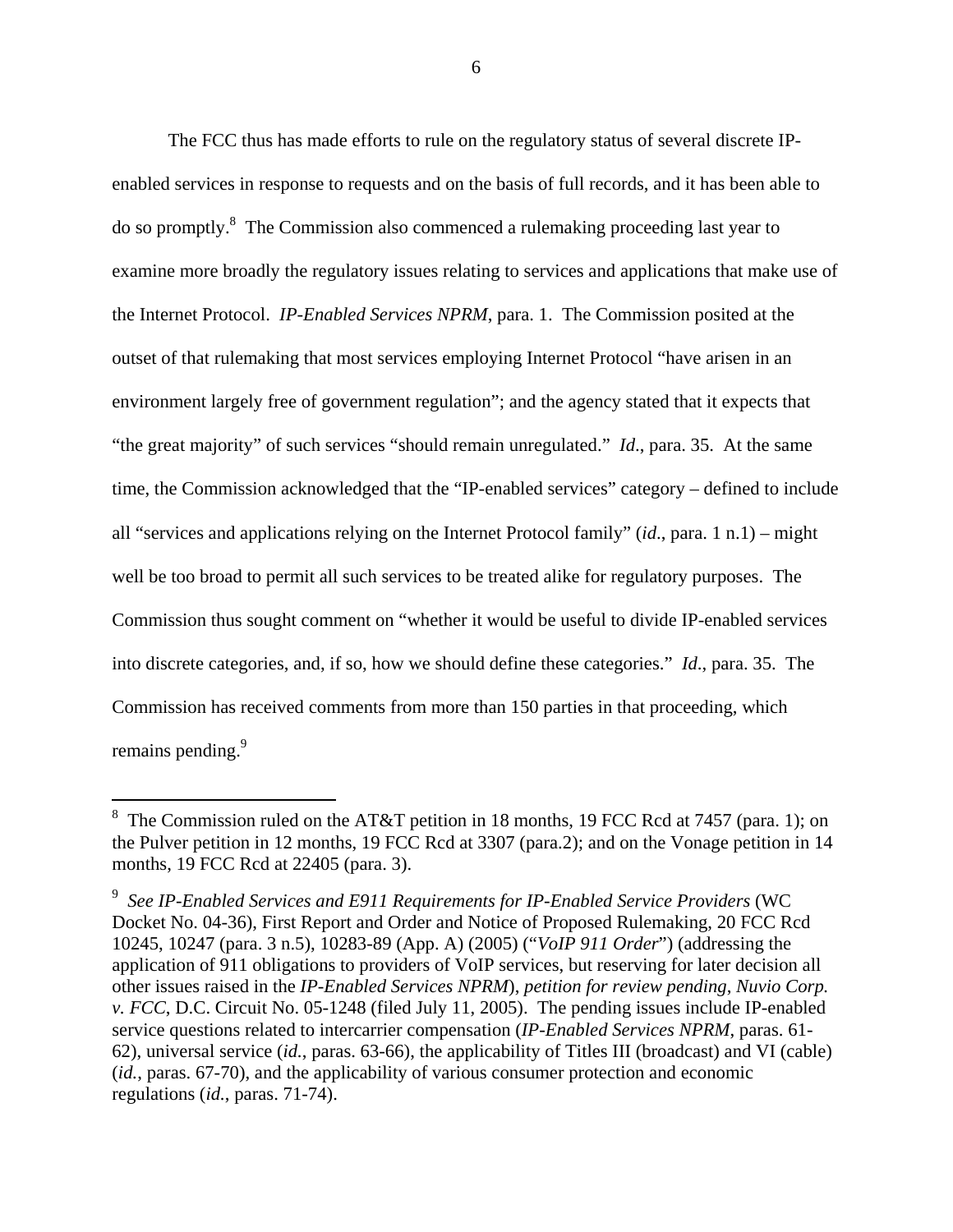The FCC thus has made efforts to rule on the regulatory status of several discrete IPenabled services in response to requests and on the basis of full records, and it has been able to do so promptly.<sup>8</sup> The Commission also commenced a rulemaking proceeding last year to examine more broadly the regulatory issues relating to services and applications that make use of the Internet Protocol. *IP-Enabled Services NPRM*, para. 1. The Commission posited at the outset of that rulemaking that most services employing Internet Protocol "have arisen in an environment largely free of government regulation"; and the agency stated that it expects that "the great majority" of such services "should remain unregulated." *Id*., para. 35. At the same time, the Commission acknowledged that the "IP-enabled services" category – defined to include all "services and applications relying on the Internet Protocol family" (*id*., para. 1 n.1) – might well be too broad to permit all such services to be treated alike for regulatory purposes. The Commission thus sought comment on "whether it would be useful to divide IP-enabled services into discrete categories, and, if so, how we should define these categories." *Id*., para. 35. The Commission has received comments from more than 150 parties in that proceeding, which remains pending.<sup>9</sup>

l

<sup>&</sup>lt;sup>8</sup> The Commission ruled on the AT&T petition in 18 months, 19 FCC Rcd at 7457 (para. 1); on the Pulver petition in 12 months, 19 FCC Rcd at 3307 (para.2); and on the Vonage petition in 14 months, 19 FCC Rcd at 22405 (para. 3).

<sup>9</sup> *See IP-Enabled Services and E911 Requirements for IP-Enabled Service Providers* (WC Docket No. 04-36), First Report and Order and Notice of Proposed Rulemaking, 20 FCC Rcd 10245, 10247 (para. 3 n.5), 10283-89 (App. A) (2005) ("*VoIP 911 Order*") (addressing the application of 911 obligations to providers of VoIP services, but reserving for later decision all other issues raised in the *IP-Enabled Services NPRM*), *petition for review pending*, *Nuvio Corp. v. FCC*, D.C. Circuit No. 05-1248 (filed July 11, 2005). The pending issues include IP-enabled service questions related to intercarrier compensation (*IP-Enabled Services NPRM*, paras. 61- 62), universal service (*id.*, paras. 63-66), the applicability of Titles III (broadcast) and VI (cable) (*id.*, paras. 67-70), and the applicability of various consumer protection and economic regulations (*id.*, paras. 71-74).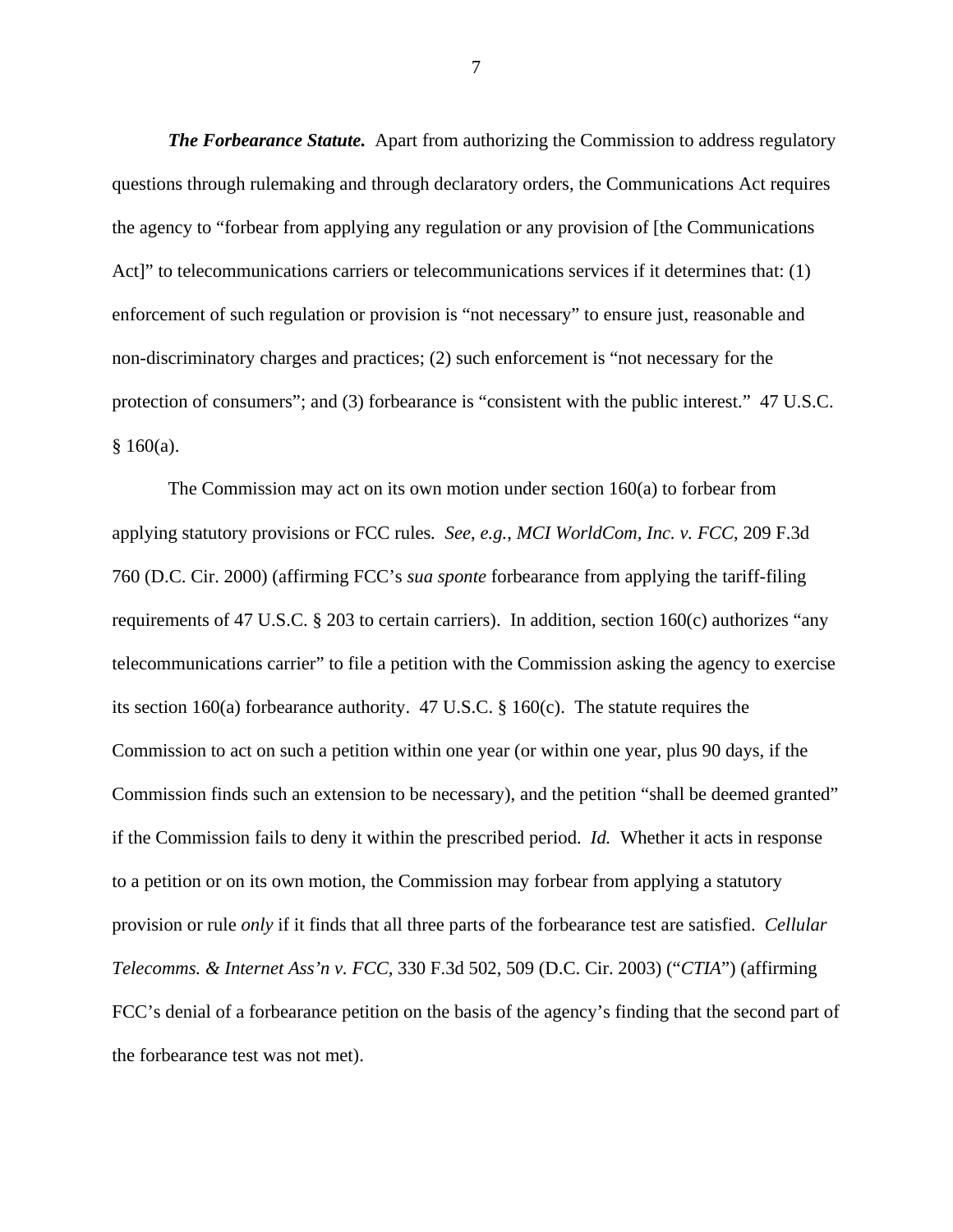*The Forbearance Statute.* Apart from authorizing the Commission to address regulatory questions through rulemaking and through declaratory orders, the Communications Act requires the agency to "forbear from applying any regulation or any provision of [the Communications Act]" to telecommunications carriers or telecommunications services if it determines that: (1) enforcement of such regulation or provision is "not necessary" to ensure just, reasonable and non-discriminatory charges and practices; (2) such enforcement is "not necessary for the protection of consumers"; and (3) forbearance is "consistent with the public interest." 47 U.S.C.  $§ 160(a).$ 

The Commission may act on its own motion under section 160(a) to forbear from applying statutory provisions or FCC rules*. See*, *e.g.*, *MCI WorldCom, Inc. v. FCC*, 209 F.3d 760 (D.C. Cir. 2000) (affirming FCC's *sua sponte* forbearance from applying the tariff-filing requirements of 47 U.S.C. § 203 to certain carriers). In addition, section 160(c) authorizes "any telecommunications carrier" to file a petition with the Commission asking the agency to exercise its section 160(a) forbearance authority. 47 U.S.C. § 160(c). The statute requires the Commission to act on such a petition within one year (or within one year, plus 90 days, if the Commission finds such an extension to be necessary), and the petition "shall be deemed granted" if the Commission fails to deny it within the prescribed period. *Id.* Whether it acts in response to a petition or on its own motion, the Commission may forbear from applying a statutory provision or rule *only* if it finds that all three parts of the forbearance test are satisfied. *Cellular Telecomms. & Internet Ass'n v. FCC*, 330 F.3d 502, 509 (D.C. Cir. 2003) ("*CTIA*") (affirming FCC's denial of a forbearance petition on the basis of the agency's finding that the second part of the forbearance test was not met).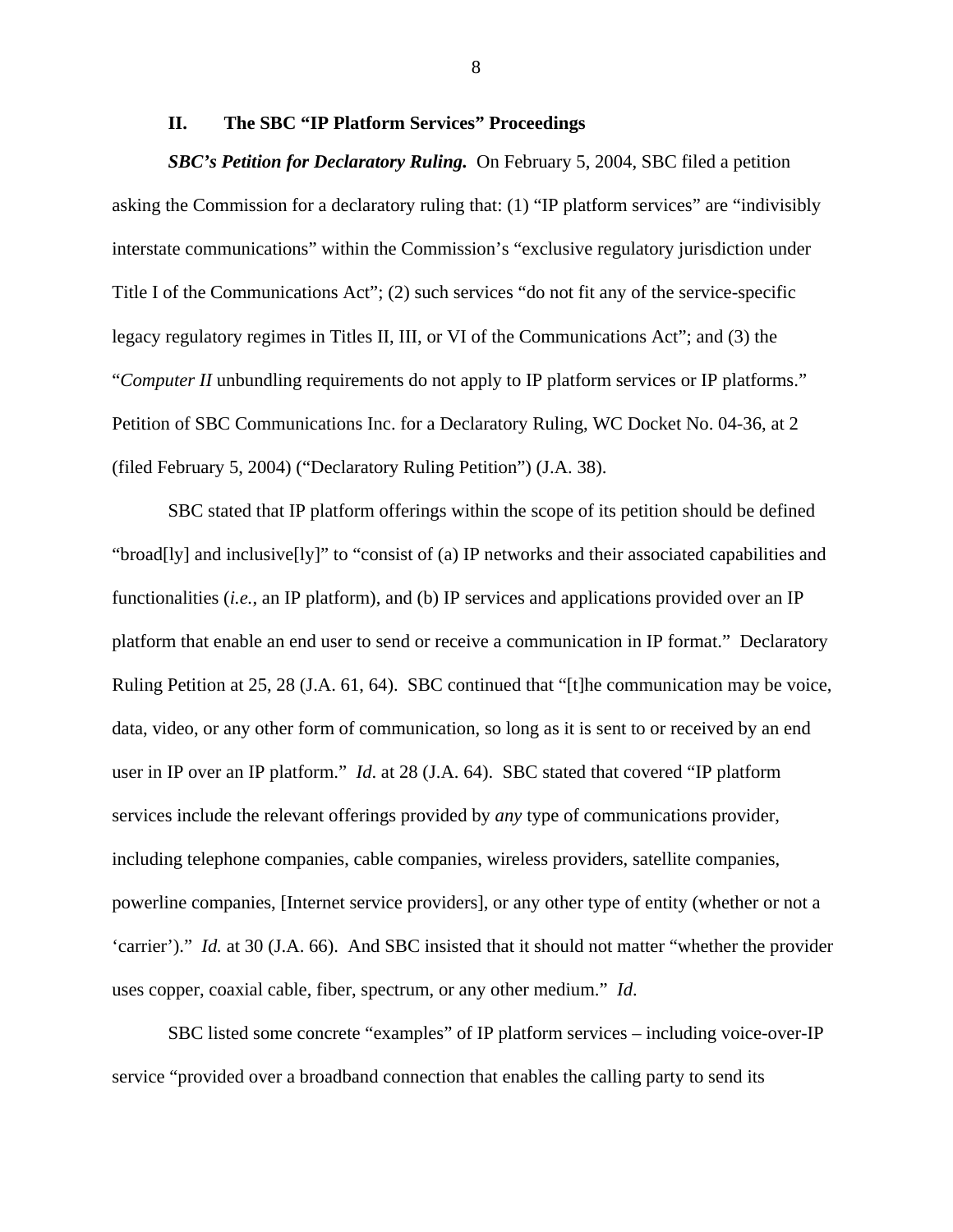### **II. The SBC "IP Platform Services" Proceedings**

*SBC's Petition for Declaratory Ruling.* On February 5, 2004, SBC filed a petition asking the Commission for a declaratory ruling that: (1) "IP platform services" are "indivisibly interstate communications" within the Commission's "exclusive regulatory jurisdiction under Title I of the Communications Act"; (2) such services "do not fit any of the service-specific legacy regulatory regimes in Titles II, III, or VI of the Communications Act"; and (3) the "*Computer II* unbundling requirements do not apply to IP platform services or IP platforms." Petition of SBC Communications Inc. for a Declaratory Ruling, WC Docket No. 04-36, at 2 (filed February 5, 2004) ("Declaratory Ruling Petition") (J.A. 38).

SBC stated that IP platform offerings within the scope of its petition should be defined "broad[ly] and inclusive[ly]" to "consist of (a) IP networks and their associated capabilities and functionalities (*i.e.*, an IP platform), and (b) IP services and applications provided over an IP platform that enable an end user to send or receive a communication in IP format." Declaratory Ruling Petition at 25, 28 (J.A. 61, 64). SBC continued that "[t]he communication may be voice, data, video, or any other form of communication, so long as it is sent to or received by an end user in IP over an IP platform." *Id*. at 28 (J.A. 64). SBC stated that covered "IP platform services include the relevant offerings provided by *any* type of communications provider, including telephone companies, cable companies, wireless providers, satellite companies, powerline companies, [Internet service providers], or any other type of entity (whether or not a 'carrier')." *Id.* at 30 (J.A. 66). And SBC insisted that it should not matter "whether the provider uses copper, coaxial cable, fiber, spectrum, or any other medium." *Id*.

SBC listed some concrete "examples" of IP platform services – including voice-over-IP service "provided over a broadband connection that enables the calling party to send its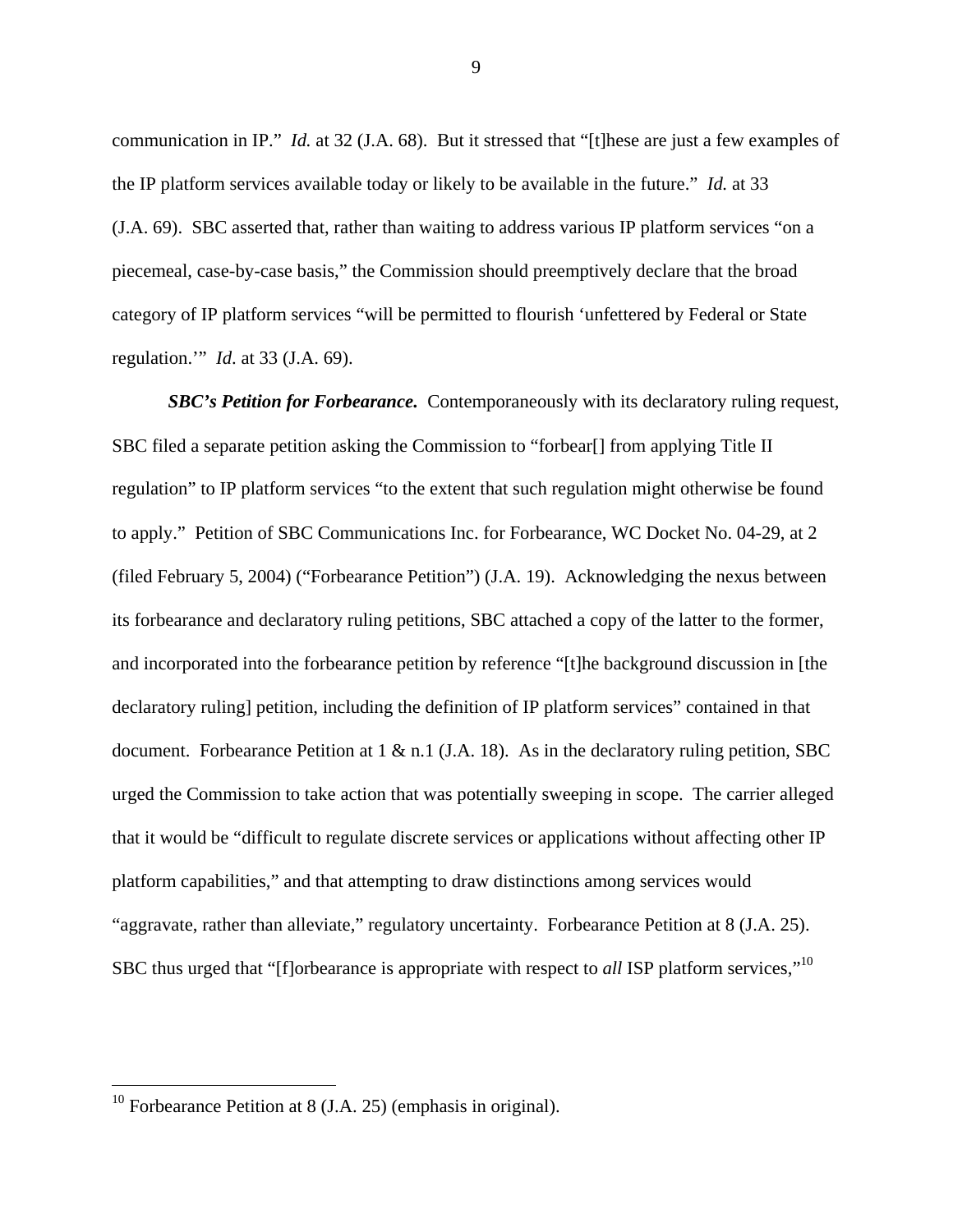communication in IP." *Id.* at 32 (J.A. 68). But it stressed that "[t]hese are just a few examples of the IP platform services available today or likely to be available in the future." *Id.* at 33 (J.A. 69). SBC asserted that, rather than waiting to address various IP platform services "on a piecemeal, case-by-case basis," the Commission should preemptively declare that the broad category of IP platform services "will be permitted to flourish 'unfettered by Federal or State regulation.'" *Id*. at 33 (J.A. 69).

*SBC's Petition for Forbearance.* Contemporaneously with its declaratory ruling request, SBC filed a separate petition asking the Commission to "forbear[] from applying Title II regulation" to IP platform services "to the extent that such regulation might otherwise be found to apply." Petition of SBC Communications Inc. for Forbearance, WC Docket No. 04-29, at 2 (filed February 5, 2004) ("Forbearance Petition") (J.A. 19). Acknowledging the nexus between its forbearance and declaratory ruling petitions, SBC attached a copy of the latter to the former, and incorporated into the forbearance petition by reference "[t]he background discussion in [the declaratory ruling] petition, including the definition of IP platform services" contained in that document. Forbearance Petition at  $1 \& n.1$  (J.A. 18). As in the declaratory ruling petition, SBC urged the Commission to take action that was potentially sweeping in scope. The carrier alleged that it would be "difficult to regulate discrete services or applications without affecting other IP platform capabilities," and that attempting to draw distinctions among services would "aggravate, rather than alleviate," regulatory uncertainty. Forbearance Petition at 8 (J.A. 25). SBC thus urged that "[f]orbearance is appropriate with respect to *all* ISP platform services,"10

 $\overline{a}$ 

<sup>&</sup>lt;sup>10</sup> Forbearance Petition at 8 (J.A. 25) (emphasis in original).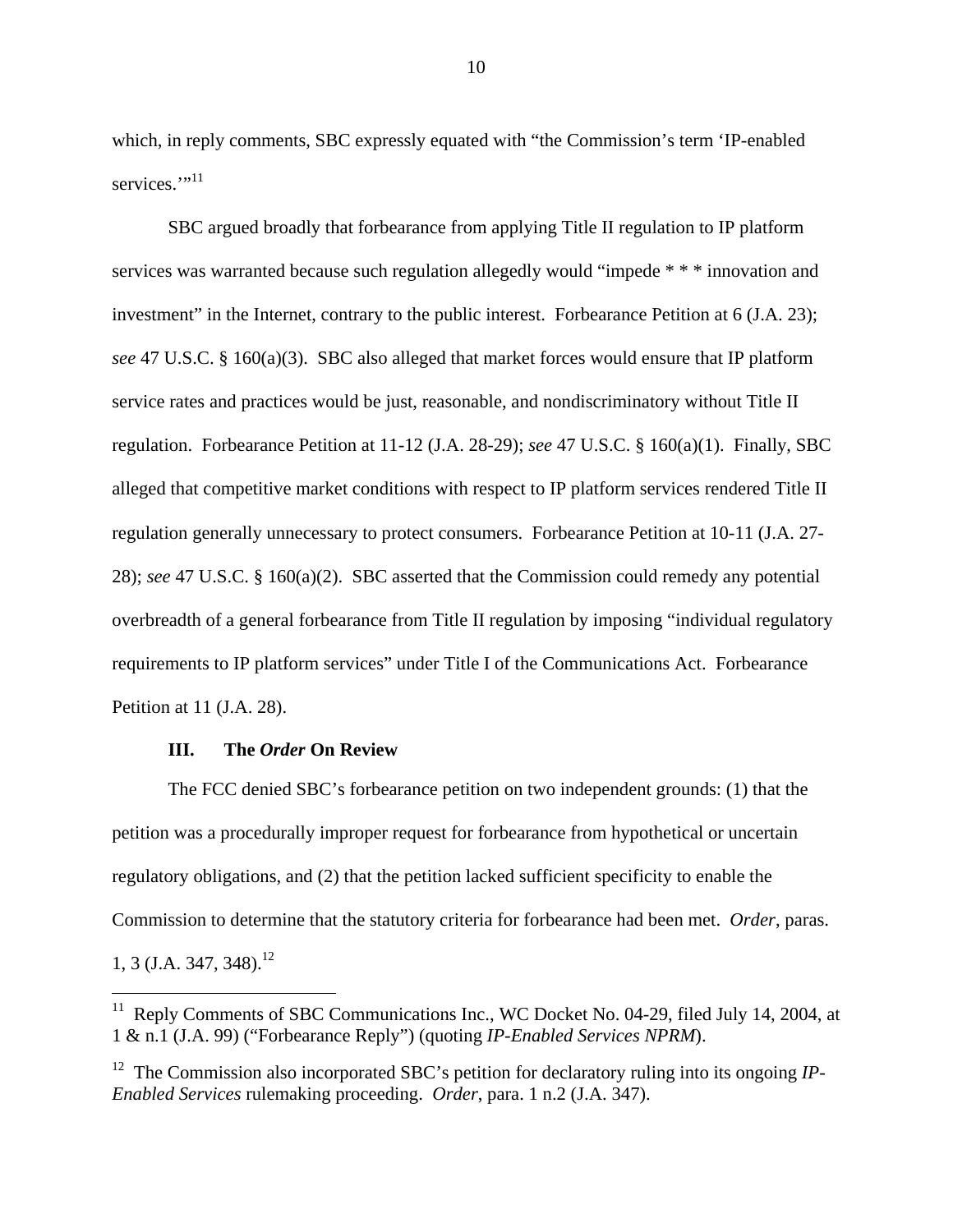which, in reply comments, SBC expressly equated with "the Commission's term 'IP-enabled services."<sup>11</sup>

SBC argued broadly that forbearance from applying Title II regulation to IP platform services was warranted because such regulation allegedly would "impede \* \* \* innovation and investment" in the Internet, contrary to the public interest. Forbearance Petition at 6 (J.A. 23); *see* 47 U.S.C. § 160(a)(3). SBC also alleged that market forces would ensure that IP platform service rates and practices would be just, reasonable, and nondiscriminatory without Title II regulation. Forbearance Petition at 11-12 (J.A. 28-29); *see* 47 U.S.C. § 160(a)(1). Finally, SBC alleged that competitive market conditions with respect to IP platform services rendered Title II regulation generally unnecessary to protect consumers. Forbearance Petition at 10-11 (J.A. 27- 28); *see* 47 U.S.C. § 160(a)(2). SBC asserted that the Commission could remedy any potential overbreadth of a general forbearance from Title II regulation by imposing "individual regulatory requirements to IP platform services" under Title I of the Communications Act. Forbearance Petition at 11 (J.A. 28).

### **III. The** *Order* **On Review**

 $\overline{a}$ 

The FCC denied SBC's forbearance petition on two independent grounds: (1) that the petition was a procedurally improper request for forbearance from hypothetical or uncertain regulatory obligations, and (2) that the petition lacked sufficient specificity to enable the Commission to determine that the statutory criteria for forbearance had been met. *Order*, paras. 1, 3 (J.A. 347, 348).<sup>12</sup>

 $11$  Reply Comments of SBC Communications Inc., WC Docket No. 04-29, filed July 14, 2004, at 1 & n.1 (J.A. 99) ("Forbearance Reply") (quoting *IP-Enabled Services NPRM*).

<sup>&</sup>lt;sup>12</sup> The Commission also incorporated SBC's petition for declaratory ruling into its ongoing *IP*-*Enabled Services* rulemaking proceeding. *Order*, para. 1 n.2 (J.A. 347).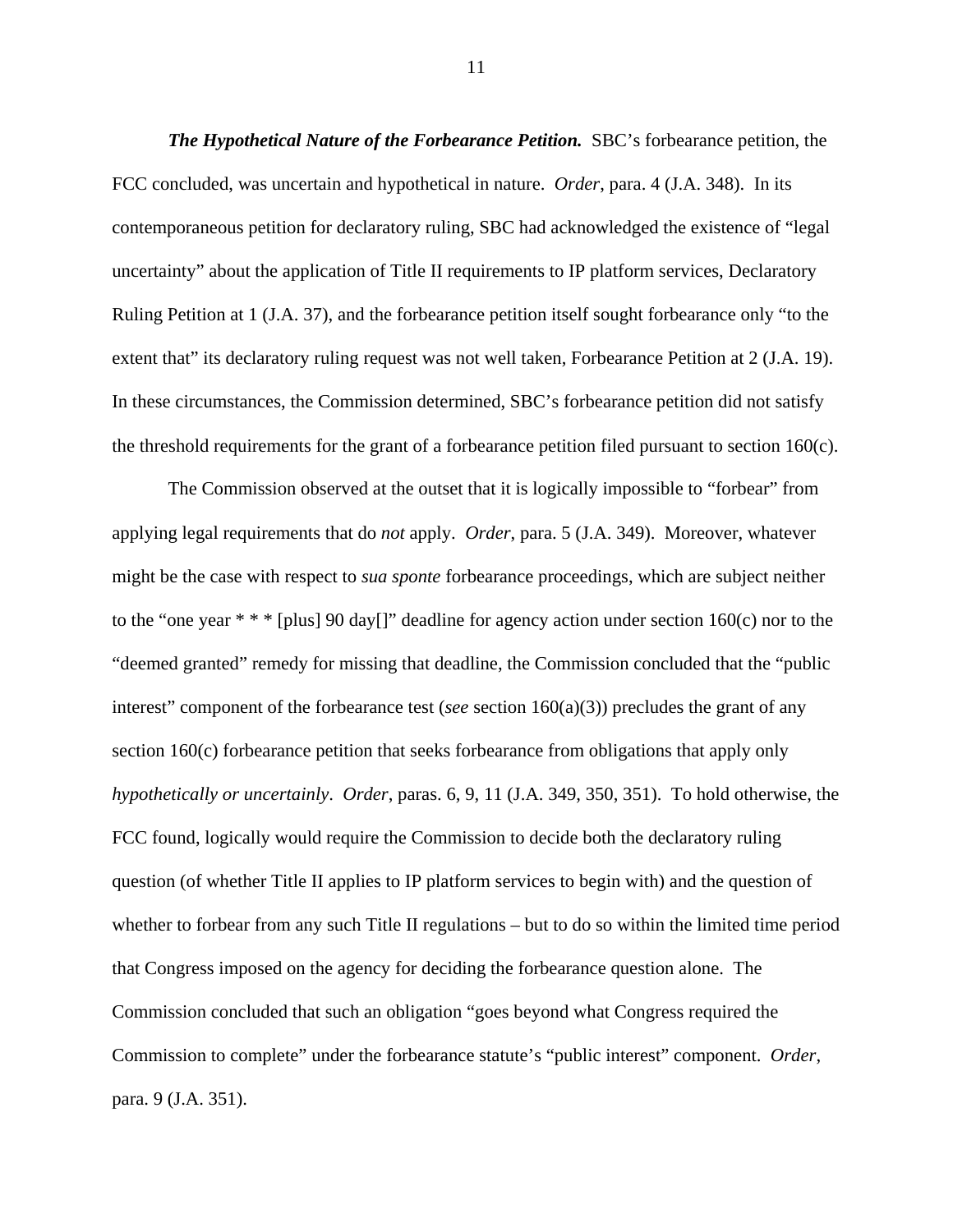*The Hypothetical Nature of the Forbearance Petition.* SBC's forbearance petition, the FCC concluded, was uncertain and hypothetical in nature. *Order*, para. 4 (J.A. 348). In its contemporaneous petition for declaratory ruling, SBC had acknowledged the existence of "legal uncertainty" about the application of Title II requirements to IP platform services, Declaratory Ruling Petition at 1 (J.A. 37), and the forbearance petition itself sought forbearance only "to the extent that" its declaratory ruling request was not well taken, Forbearance Petition at 2 (J.A. 19). In these circumstances, the Commission determined, SBC's forbearance petition did not satisfy the threshold requirements for the grant of a forbearance petition filed pursuant to section 160(c).

The Commission observed at the outset that it is logically impossible to "forbear" from applying legal requirements that do *not* apply. *Order*, para. 5 (J.A. 349). Moreover, whatever might be the case with respect to *sua sponte* forbearance proceedings, which are subject neither to the "one year  $**$  " [plus] 90 day[]" deadline for agency action under section 160(c) nor to the "deemed granted" remedy for missing that deadline, the Commission concluded that the "public interest" component of the forbearance test (*see* section 160(a)(3)) precludes the grant of any section 160(c) forbearance petition that seeks forbearance from obligations that apply only *hypothetically or uncertainly*. *Order*, paras. 6, 9, 11 (J.A. 349, 350, 351). To hold otherwise, the FCC found, logically would require the Commission to decide both the declaratory ruling question (of whether Title II applies to IP platform services to begin with) and the question of whether to forbear from any such Title II regulations – but to do so within the limited time period that Congress imposed on the agency for deciding the forbearance question alone. The Commission concluded that such an obligation "goes beyond what Congress required the Commission to complete" under the forbearance statute's "public interest" component. *Order*, para. 9 (J.A. 351).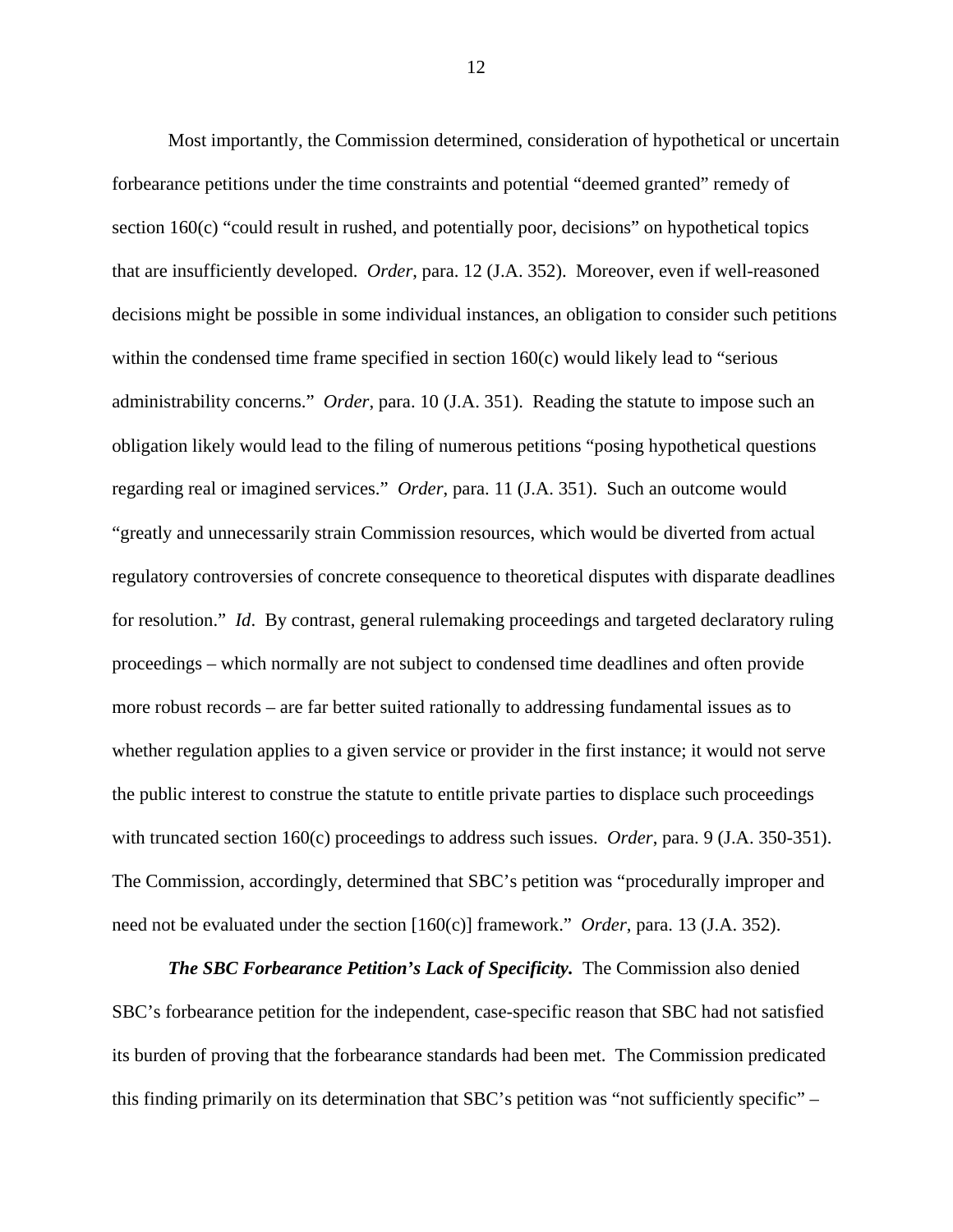Most importantly, the Commission determined, consideration of hypothetical or uncertain forbearance petitions under the time constraints and potential "deemed granted" remedy of section 160(c) "could result in rushed, and potentially poor, decisions" on hypothetical topics that are insufficiently developed. *Order*, para. 12 (J.A. 352). Moreover, even if well-reasoned decisions might be possible in some individual instances, an obligation to consider such petitions within the condensed time frame specified in section 160(c) would likely lead to "serious administrability concerns." *Order*, para. 10 (J.A. 351). Reading the statute to impose such an obligation likely would lead to the filing of numerous petitions "posing hypothetical questions regarding real or imagined services." *Order*, para. 11 (J.A. 351). Such an outcome would "greatly and unnecessarily strain Commission resources, which would be diverted from actual regulatory controversies of concrete consequence to theoretical disputes with disparate deadlines for resolution." *Id*. By contrast, general rulemaking proceedings and targeted declaratory ruling proceedings – which normally are not subject to condensed time deadlines and often provide more robust records – are far better suited rationally to addressing fundamental issues as to whether regulation applies to a given service or provider in the first instance; it would not serve the public interest to construe the statute to entitle private parties to displace such proceedings with truncated section 160(c) proceedings to address such issues. *Order*, para. 9 (J.A. 350-351). The Commission, accordingly, determined that SBC's petition was "procedurally improper and need not be evaluated under the section [160(c)] framework." *Order*, para. 13 (J.A. 352).

*The SBC Forbearance Petition's Lack of Specificity.* The Commission also denied SBC's forbearance petition for the independent, case-specific reason that SBC had not satisfied its burden of proving that the forbearance standards had been met. The Commission predicated this finding primarily on its determination that SBC's petition was "not sufficiently specific" –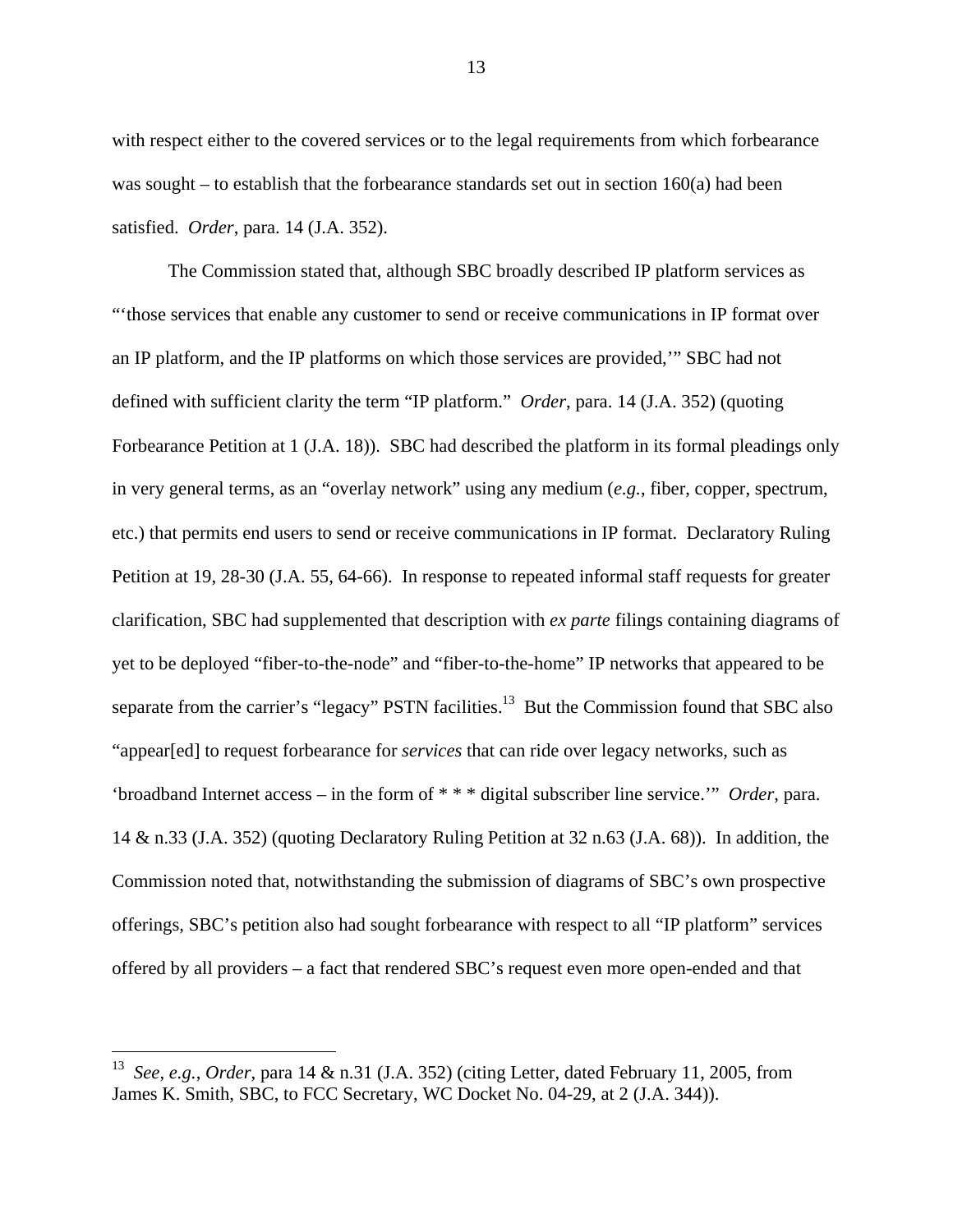with respect either to the covered services or to the legal requirements from which forbearance was sought – to establish that the forbearance standards set out in section  $160(a)$  had been satisfied. *Order*, para. 14 (J.A. 352).

The Commission stated that, although SBC broadly described IP platform services as "'those services that enable any customer to send or receive communications in IP format over an IP platform, and the IP platforms on which those services are provided,'" SBC had not defined with sufficient clarity the term "IP platform." *Order*, para. 14 (J.A. 352) (quoting Forbearance Petition at 1 (J.A. 18)). SBC had described the platform in its formal pleadings only in very general terms, as an "overlay network" using any medium (*e.g.*, fiber, copper, spectrum, etc.) that permits end users to send or receive communications in IP format. Declaratory Ruling Petition at 19, 28-30 (J.A. 55, 64-66). In response to repeated informal staff requests for greater clarification, SBC had supplemented that description with *ex parte* filings containing diagrams of yet to be deployed "fiber-to-the-node" and "fiber-to-the-home" IP networks that appeared to be separate from the carrier's "legacy" PSTN facilities.<sup>13</sup> But the Commission found that SBC also "appear[ed] to request forbearance for *services* that can ride over legacy networks, such as 'broadband Internet access – in the form of \* \* \* digital subscriber line service.'" *Order*, para. 14 & n.33 (J.A. 352) (quoting Declaratory Ruling Petition at 32 n.63 (J.A. 68)). In addition, the Commission noted that, notwithstanding the submission of diagrams of SBC's own prospective offerings, SBC's petition also had sought forbearance with respect to all "IP platform" services offered by all providers – a fact that rendered SBC's request even more open-ended and that

 $\overline{a}$ 

<sup>13</sup> *See*, *e.g.*, *Order*, para 14 & n.31 (J.A. 352) (citing Letter, dated February 11, 2005, from James K. Smith, SBC, to FCC Secretary, WC Docket No. 04-29, at 2 (J.A. 344)).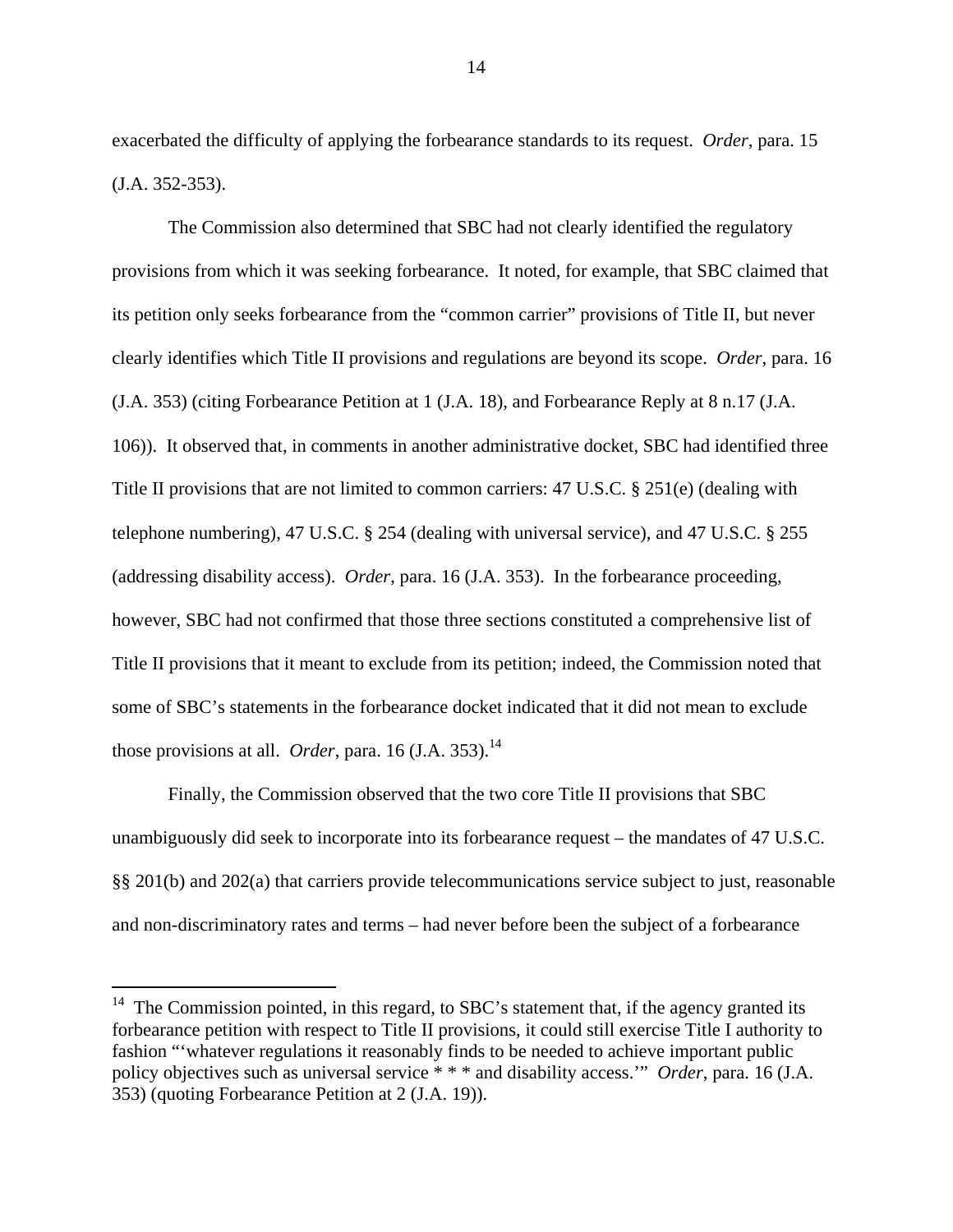exacerbated the difficulty of applying the forbearance standards to its request. *Order*, para. 15 (J.A. 352-353).

The Commission also determined that SBC had not clearly identified the regulatory provisions from which it was seeking forbearance. It noted, for example, that SBC claimed that its petition only seeks forbearance from the "common carrier" provisions of Title II, but never clearly identifies which Title II provisions and regulations are beyond its scope. *Order*, para. 16 (J.A. 353) (citing Forbearance Petition at 1 (J.A. 18), and Forbearance Reply at 8 n.17 (J.A. 106)). It observed that, in comments in another administrative docket, SBC had identified three Title II provisions that are not limited to common carriers: 47 U.S.C. § 251(e) (dealing with telephone numbering), 47 U.S.C. § 254 (dealing with universal service), and 47 U.S.C. § 255 (addressing disability access). *Order*, para. 16 (J.A. 353). In the forbearance proceeding, however, SBC had not confirmed that those three sections constituted a comprehensive list of Title II provisions that it meant to exclude from its petition; indeed, the Commission noted that some of SBC's statements in the forbearance docket indicated that it did not mean to exclude those provisions at all. *Order*, para. 16 (J.A. 353).<sup>14</sup>

Finally, the Commission observed that the two core Title II provisions that SBC unambiguously did seek to incorporate into its forbearance request – the mandates of 47 U.S.C. §§ 201(b) and 202(a) that carriers provide telecommunications service subject to just, reasonable and non-discriminatory rates and terms – had never before been the subject of a forbearance

l

<sup>&</sup>lt;sup>14</sup> The Commission pointed, in this regard, to SBC's statement that, if the agency granted its forbearance petition with respect to Title II provisions, it could still exercise Title I authority to fashion "'whatever regulations it reasonably finds to be needed to achieve important public policy objectives such as universal service \* \* \* and disability access.'" *Order*, para. 16 (J.A. 353) (quoting Forbearance Petition at 2 (J.A. 19)).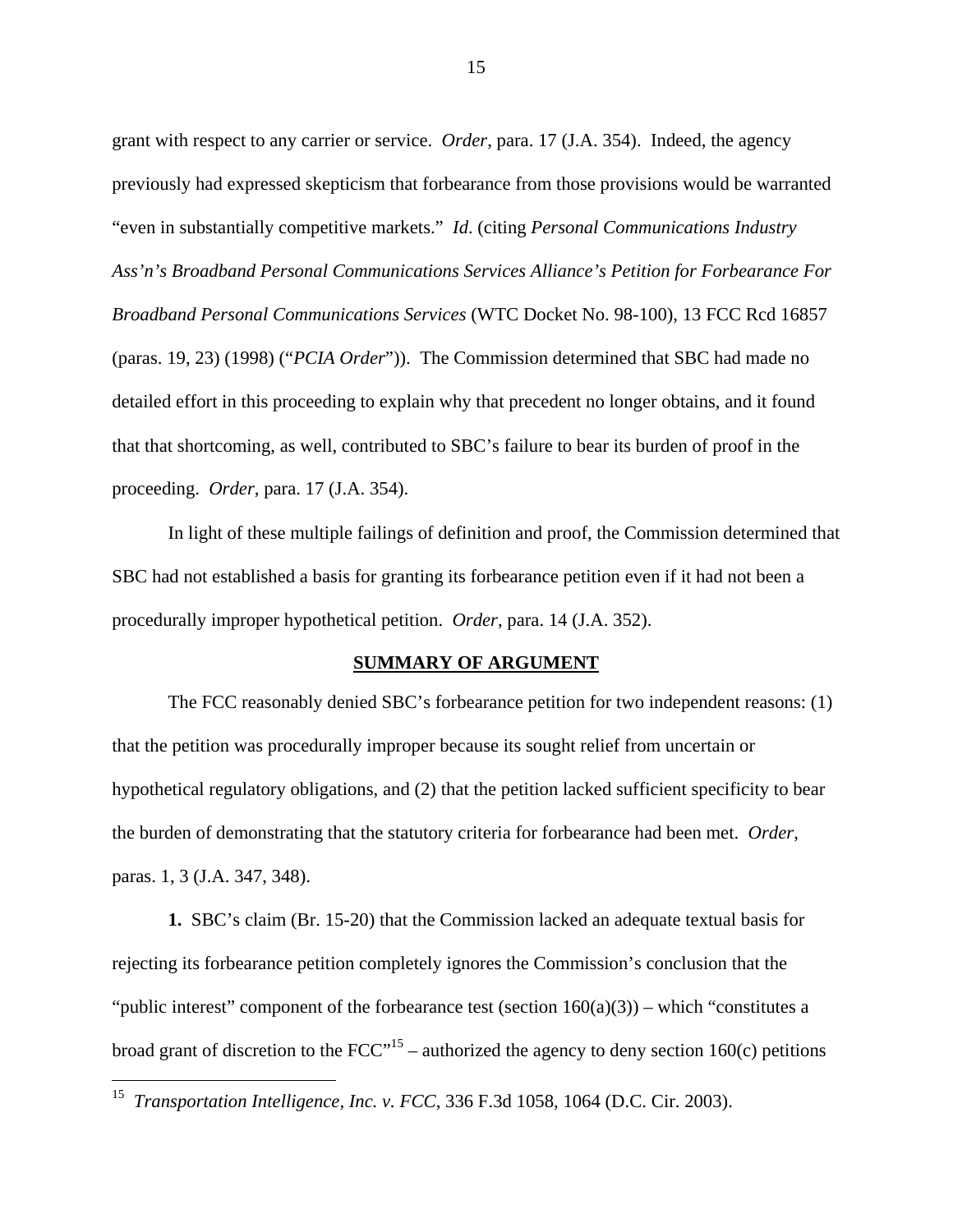grant with respect to any carrier or service. *Order*, para. 17 (J.A. 354). Indeed, the agency previously had expressed skepticism that forbearance from those provisions would be warranted "even in substantially competitive markets." *Id*. (citing *Personal Communications Industry Ass'n's Broadband Personal Communications Services Alliance's Petition for Forbearance For Broadband Personal Communications Services* (WTC Docket No. 98-100), 13 FCC Rcd 16857 (paras. 19, 23) (1998) ("*PCIA Order*")). The Commission determined that SBC had made no detailed effort in this proceeding to explain why that precedent no longer obtains, and it found that that shortcoming, as well, contributed to SBC's failure to bear its burden of proof in the proceeding. *Order*, para. 17 (J.A. 354).

In light of these multiple failings of definition and proof, the Commission determined that SBC had not established a basis for granting its forbearance petition even if it had not been a procedurally improper hypothetical petition. *Order*, para. 14 (J.A. 352).

#### **SUMMARY OF ARGUMENT**

The FCC reasonably denied SBC's forbearance petition for two independent reasons: (1) that the petition was procedurally improper because its sought relief from uncertain or hypothetical regulatory obligations, and (2) that the petition lacked sufficient specificity to bear the burden of demonstrating that the statutory criteria for forbearance had been met. *Order*, paras. 1, 3 (J.A. 347, 348).

**1.** SBC's claim (Br. 15-20) that the Commission lacked an adequate textual basis for rejecting its forbearance petition completely ignores the Commission's conclusion that the "public interest" component of the forbearance test (section  $160(a)(3)$ ) – which "constitutes a broad grant of discretion to the  $FCC''^{15}$  – authorized the agency to deny section 160(c) petitions

 $\overline{a}$ 

<sup>15</sup> *Transportation Intelligence, Inc. v. FCC*, 336 F.3d 1058, 1064 (D.C. Cir. 2003).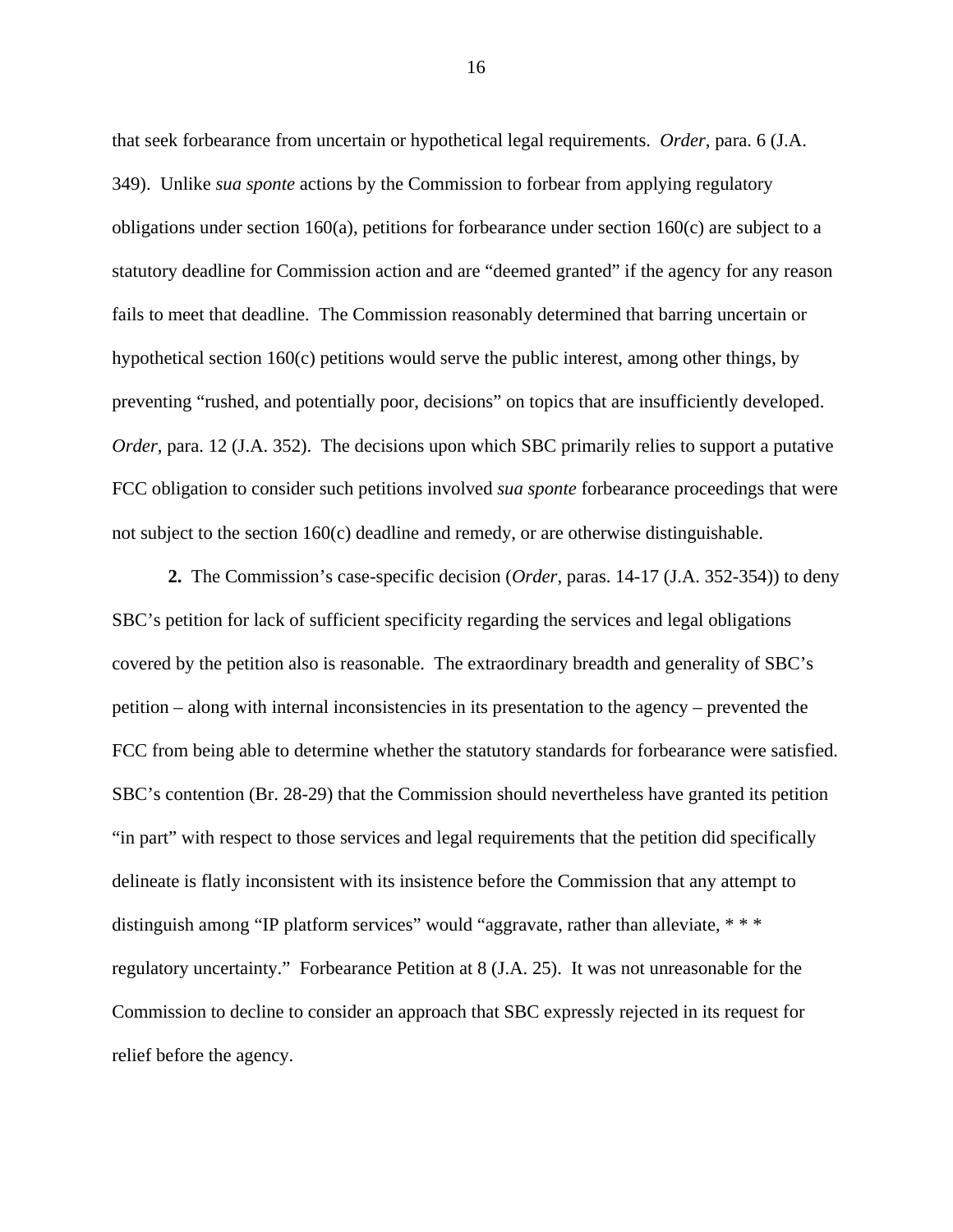that seek forbearance from uncertain or hypothetical legal requirements. *Order*, para. 6 (J.A. 349). Unlike *sua sponte* actions by the Commission to forbear from applying regulatory obligations under section 160(a), petitions for forbearance under section 160(c) are subject to a statutory deadline for Commission action and are "deemed granted" if the agency for any reason fails to meet that deadline. The Commission reasonably determined that barring uncertain or hypothetical section 160(c) petitions would serve the public interest, among other things, by preventing "rushed, and potentially poor, decisions" on topics that are insufficiently developed. *Order*, para. 12 (J.A. 352). The decisions upon which SBC primarily relies to support a putative FCC obligation to consider such petitions involved *sua sponte* forbearance proceedings that were not subject to the section 160(c) deadline and remedy, or are otherwise distinguishable.

**2.** The Commission's case-specific decision (*Order*, paras. 14-17 (J.A. 352-354)) to deny SBC's petition for lack of sufficient specificity regarding the services and legal obligations covered by the petition also is reasonable. The extraordinary breadth and generality of SBC's petition – along with internal inconsistencies in its presentation to the agency – prevented the FCC from being able to determine whether the statutory standards for forbearance were satisfied. SBC's contention (Br. 28-29) that the Commission should nevertheless have granted its petition "in part" with respect to those services and legal requirements that the petition did specifically delineate is flatly inconsistent with its insistence before the Commission that any attempt to distinguish among "IP platform services" would "aggravate, rather than alleviate, \* \* \* regulatory uncertainty." Forbearance Petition at 8 (J.A. 25). It was not unreasonable for the Commission to decline to consider an approach that SBC expressly rejected in its request for relief before the agency.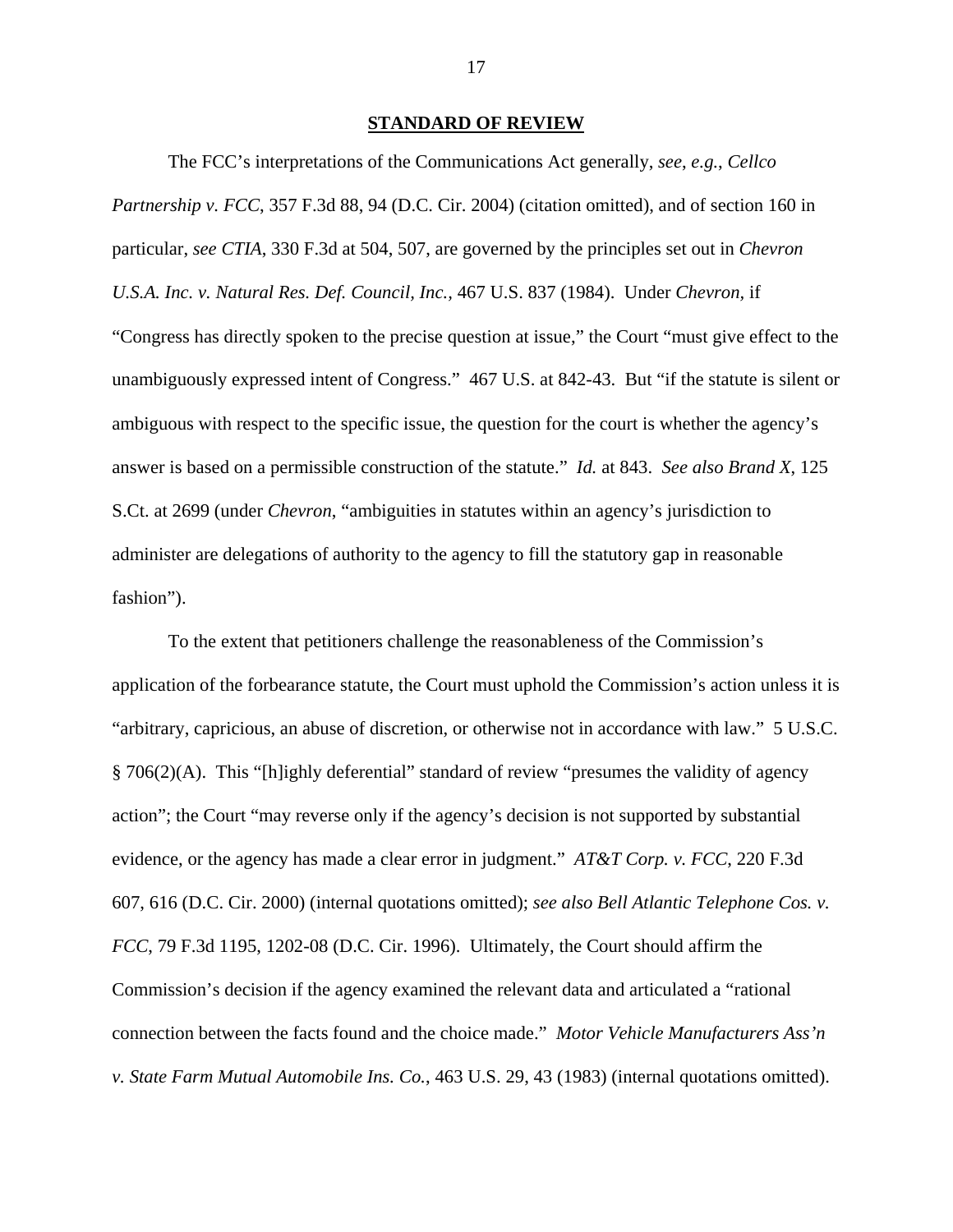#### **STANDARD OF REVIEW**

The FCC's interpretations of the Communications Act generally, *see*, *e.g.*, *Cellco Partnership v. FCC*, 357 F.3d 88, 94 (D.C. Cir. 2004) (citation omitted), and of section 160 in particular, *see CTIA*, 330 F.3d at 504, 507, are governed by the principles set out in *Chevron U.S.A. Inc. v. Natural Res. Def. Council, Inc.,* 467 U.S. 837 (1984). Under *Chevron,* if "Congress has directly spoken to the precise question at issue," the Court "must give effect to the unambiguously expressed intent of Congress."467 U.S. at 842-43. But "if the statute is silent or ambiguous with respect to the specific issue, the question for the court is whether the agency's answer is based on a permissible construction of the statute." *Id.* at 843. *See also Brand X*, 125 S.Ct. at 2699 (under *Chevron*, "ambiguities in statutes within an agency's jurisdiction to administer are delegations of authority to the agency to fill the statutory gap in reasonable fashion").

To the extent that petitioners challenge the reasonableness of the Commission's application of the forbearance statute, the Court must uphold the Commission's action unless it is "arbitrary, capricious, an abuse of discretion, or otherwise not in accordance with law." 5 U.S.C. § 706(2)(A). This "[h]ighly deferential" standard of review "presumes the validity of agency action"; the Court "may reverse only if the agency's decision is not supported by substantial evidence, or the agency has made a clear error in judgment." *AT&T Corp. v. FCC*, 220 F.3d 607, 616 (D.C. Cir. 2000) (internal quotations omitted); *see also Bell Atlantic Telephone Cos. v. FCC*, 79 F.3d 1195, 1202-08 (D.C. Cir. 1996). Ultimately, the Court should affirm the Commission's decision if the agency examined the relevant data and articulated a "rational connection between the facts found and the choice made." *Motor Vehicle Manufacturers Ass'n v. State Farm Mutual Automobile Ins. Co.*, 463 U.S. 29, 43 (1983) (internal quotations omitted).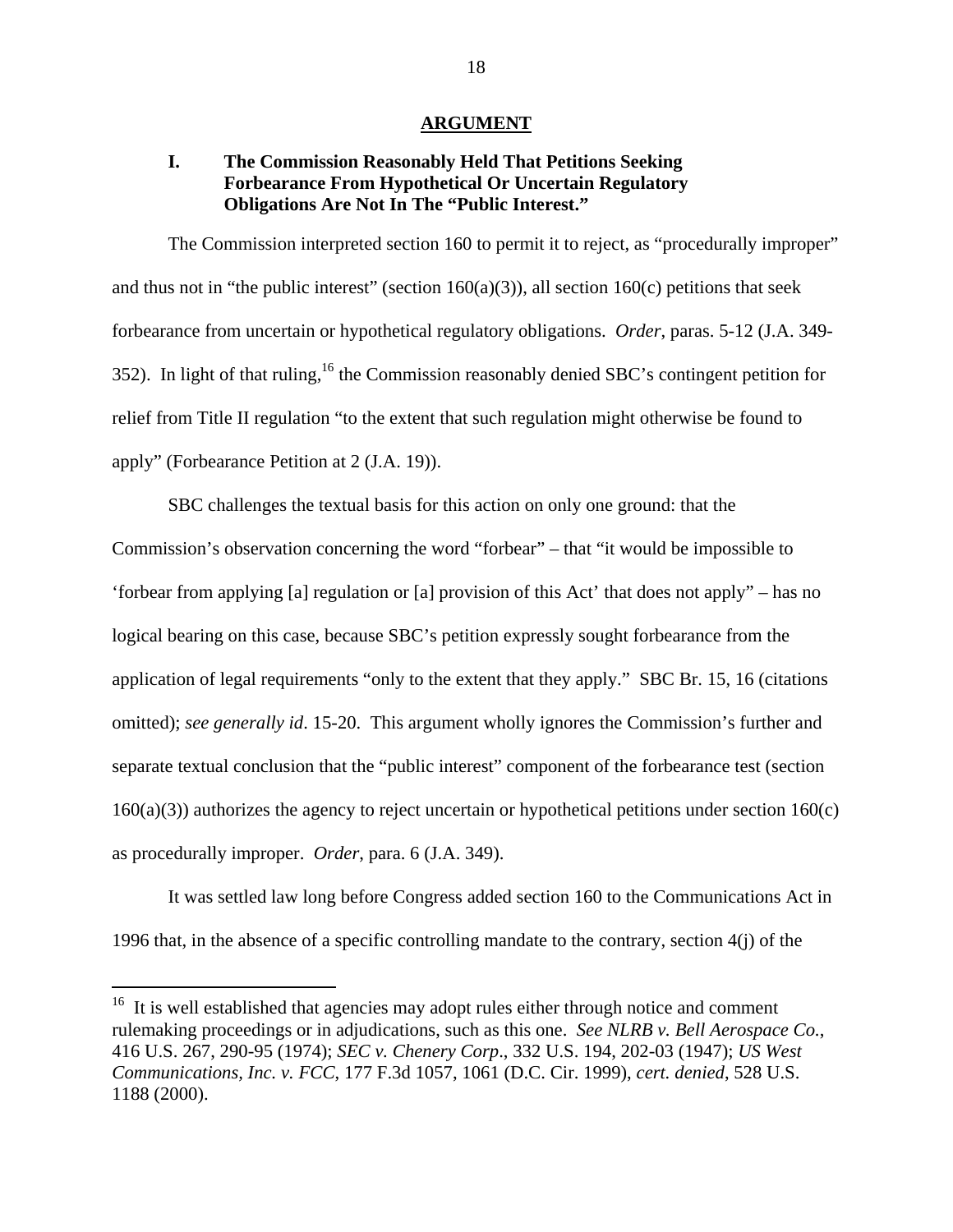#### **ARGUMENT**

# **I. The Commission Reasonably Held That Petitions Seeking Forbearance From Hypothetical Or Uncertain Regulatory Obligations Are Not In The "Public Interest."**

The Commission interpreted section 160 to permit it to reject, as "procedurally improper" and thus not in "the public interest" (section  $160(a)(3)$ ), all section  $160(c)$  petitions that seek forbearance from uncertain or hypothetical regulatory obligations. *Order*, paras. 5-12 (J.A. 349- 352). In light of that ruling,<sup>16</sup> the Commission reasonably denied SBC's contingent petition for relief from Title II regulation "to the extent that such regulation might otherwise be found to apply" (Forbearance Petition at 2 (J.A. 19)).

SBC challenges the textual basis for this action on only one ground: that the Commission's observation concerning the word "forbear" – that "it would be impossible to 'forbear from applying [a] regulation or [a] provision of this Act' that does not apply" – has no logical bearing on this case, because SBC's petition expressly sought forbearance from the application of legal requirements "only to the extent that they apply." SBC Br. 15, 16 (citations omitted); *see generally id*. 15-20. This argument wholly ignores the Commission's further and separate textual conclusion that the "public interest" component of the forbearance test (section  $160(a)(3)$ ) authorizes the agency to reject uncertain or hypothetical petitions under section  $160(c)$ as procedurally improper. *Order*, para. 6 (J.A. 349).

It was settled law long before Congress added section 160 to the Communications Act in 1996 that, in the absence of a specific controlling mandate to the contrary, section 4(j) of the

l

 $16$  It is well established that agencies may adopt rules either through notice and comment rulemaking proceedings or in adjudications, such as this one. *See NLRB v. Bell Aerospace Co.*, 416 U.S. 267, 290-95 (1974); *SEC v. Chenery Corp*., 332 U.S. 194, 202-03 (1947); *US West Communications, Inc. v. FCC*, 177 F.3d 1057, 1061 (D.C. Cir. 1999), *cert. denied*, 528 U.S. 1188 (2000).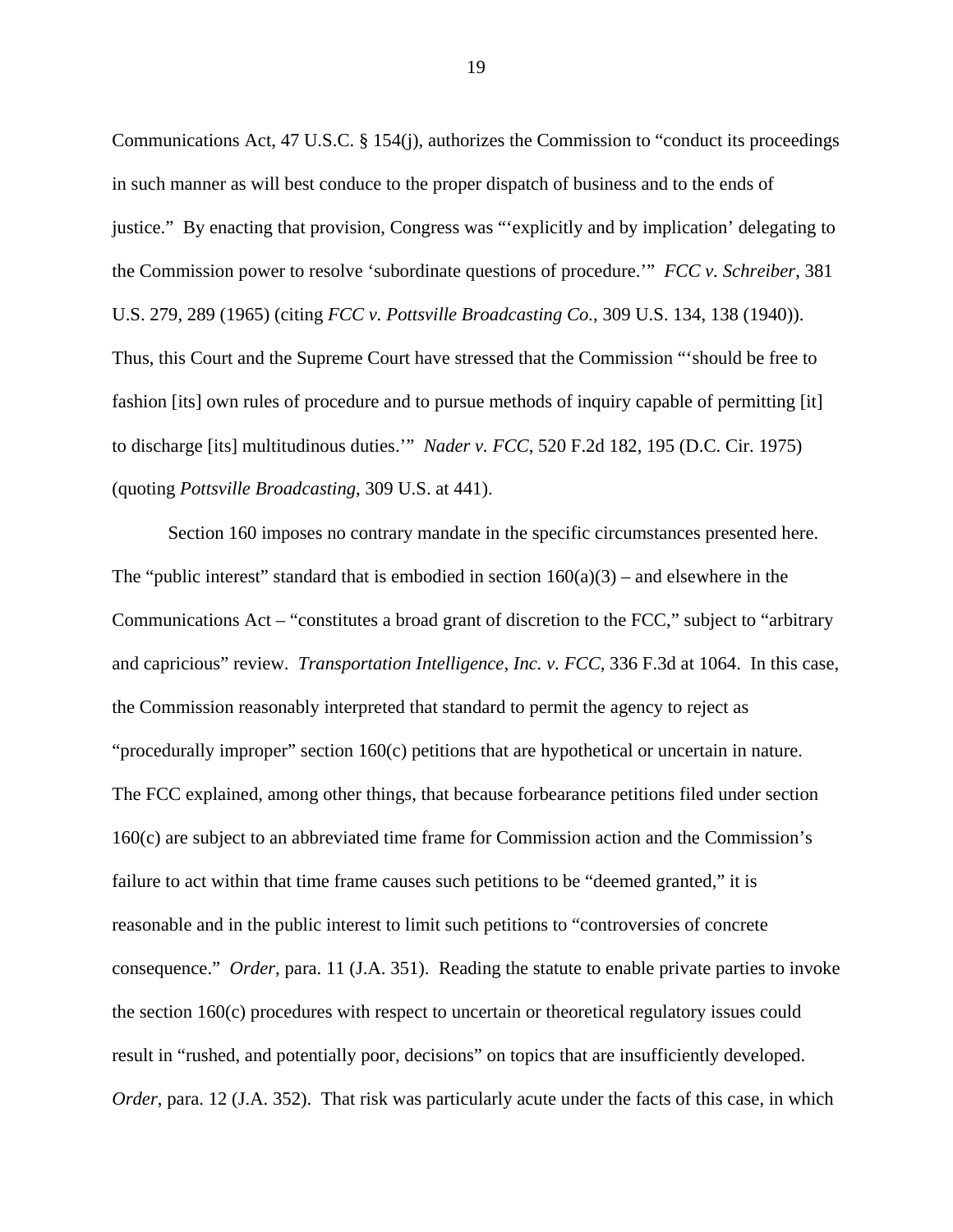Communications Act, 47 U.S.C. § 154(j), authorizes the Commission to "conduct its proceedings in such manner as will best conduce to the proper dispatch of business and to the ends of justice." By enacting that provision, Congress was "'explicitly and by implication' delegating to the Commission power to resolve 'subordinate questions of procedure.'" *FCC v. Schreiber*, 381 U.S. 279, 289 (1965) (citing *FCC v. Pottsville Broadcasting Co.*, 309 U.S. 134, 138 (1940)). Thus, this Court and the Supreme Court have stressed that the Commission "'should be free to fashion [its] own rules of procedure and to pursue methods of inquiry capable of permitting [it] to discharge [its] multitudinous duties.'" *Nader v. FCC*, 520 F.2d 182, 195 (D.C. Cir. 1975) (quoting *Pottsville Broadcasting*, 309 U.S. at 441).

Section 160 imposes no contrary mandate in the specific circumstances presented here. The "public interest" standard that is embodied in section  $160(a)(3)$  – and elsewhere in the Communications Act – "constitutes a broad grant of discretion to the FCC," subject to "arbitrary and capricious" review. *Transportation Intelligence, Inc. v. FCC*, 336 F.3d at 1064. In this case, the Commission reasonably interpreted that standard to permit the agency to reject as "procedurally improper" section 160(c) petitions that are hypothetical or uncertain in nature. The FCC explained, among other things, that because forbearance petitions filed under section 160(c) are subject to an abbreviated time frame for Commission action and the Commission's failure to act within that time frame causes such petitions to be "deemed granted," it is reasonable and in the public interest to limit such petitions to "controversies of concrete consequence." *Order*, para. 11 (J.A. 351). Reading the statute to enable private parties to invoke the section 160(c) procedures with respect to uncertain or theoretical regulatory issues could result in "rushed, and potentially poor, decisions" on topics that are insufficiently developed. *Order*, para. 12 (J.A. 352). That risk was particularly acute under the facts of this case, in which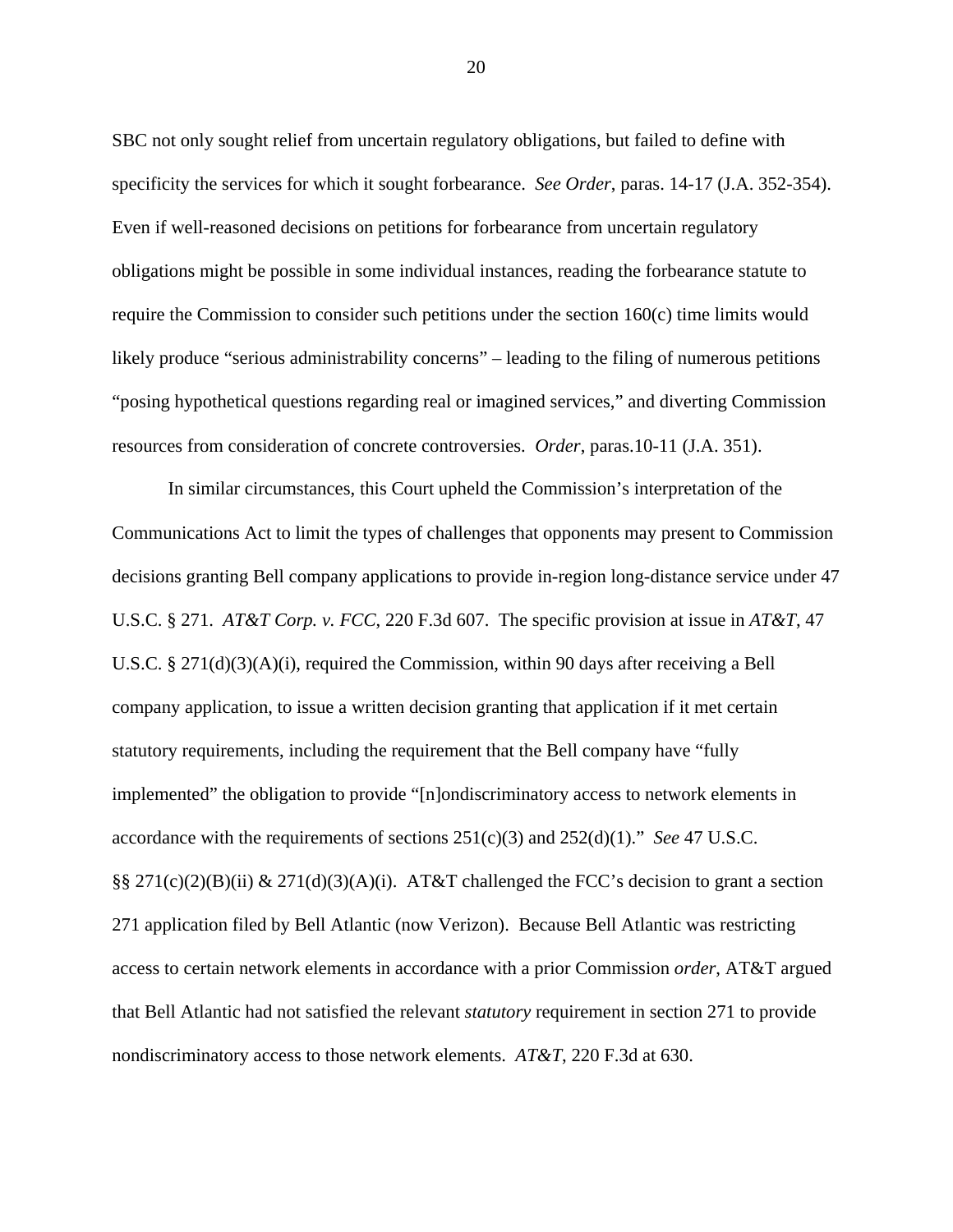SBC not only sought relief from uncertain regulatory obligations, but failed to define with specificity the services for which it sought forbearance. *See Order*, paras. 14-17 (J.A. 352-354). Even if well-reasoned decisions on petitions for forbearance from uncertain regulatory obligations might be possible in some individual instances, reading the forbearance statute to require the Commission to consider such petitions under the section 160(c) time limits would likely produce "serious administrability concerns" – leading to the filing of numerous petitions "posing hypothetical questions regarding real or imagined services," and diverting Commission resources from consideration of concrete controversies. *Order*, paras.10-11 (J.A. 351).

In similar circumstances, this Court upheld the Commission's interpretation of the Communications Act to limit the types of challenges that opponents may present to Commission decisions granting Bell company applications to provide in-region long-distance service under 47 U.S.C. § 271. *AT&T Corp. v. FCC*, 220 F.3d 607. The specific provision at issue in *AT&T*, 47 U.S.C. § 271(d)(3)(A)(i), required the Commission, within 90 days after receiving a Bell company application, to issue a written decision granting that application if it met certain statutory requirements, including the requirement that the Bell company have "fully implemented" the obligation to provide "[n]ondiscriminatory access to network elements in accordance with the requirements of sections 251(c)(3) and 252(d)(1)." *See* 47 U.S.C. §§ 271(c)(2)(B)(ii) & 271(d)(3)(A)(i). AT&T challenged the FCC's decision to grant a section 271 application filed by Bell Atlantic (now Verizon). Because Bell Atlantic was restricting access to certain network elements in accordance with a prior Commission *order*, AT&T argued that Bell Atlantic had not satisfied the relevant *statutory* requirement in section 271 to provide nondiscriminatory access to those network elements. *AT&T*, 220 F.3d at 630.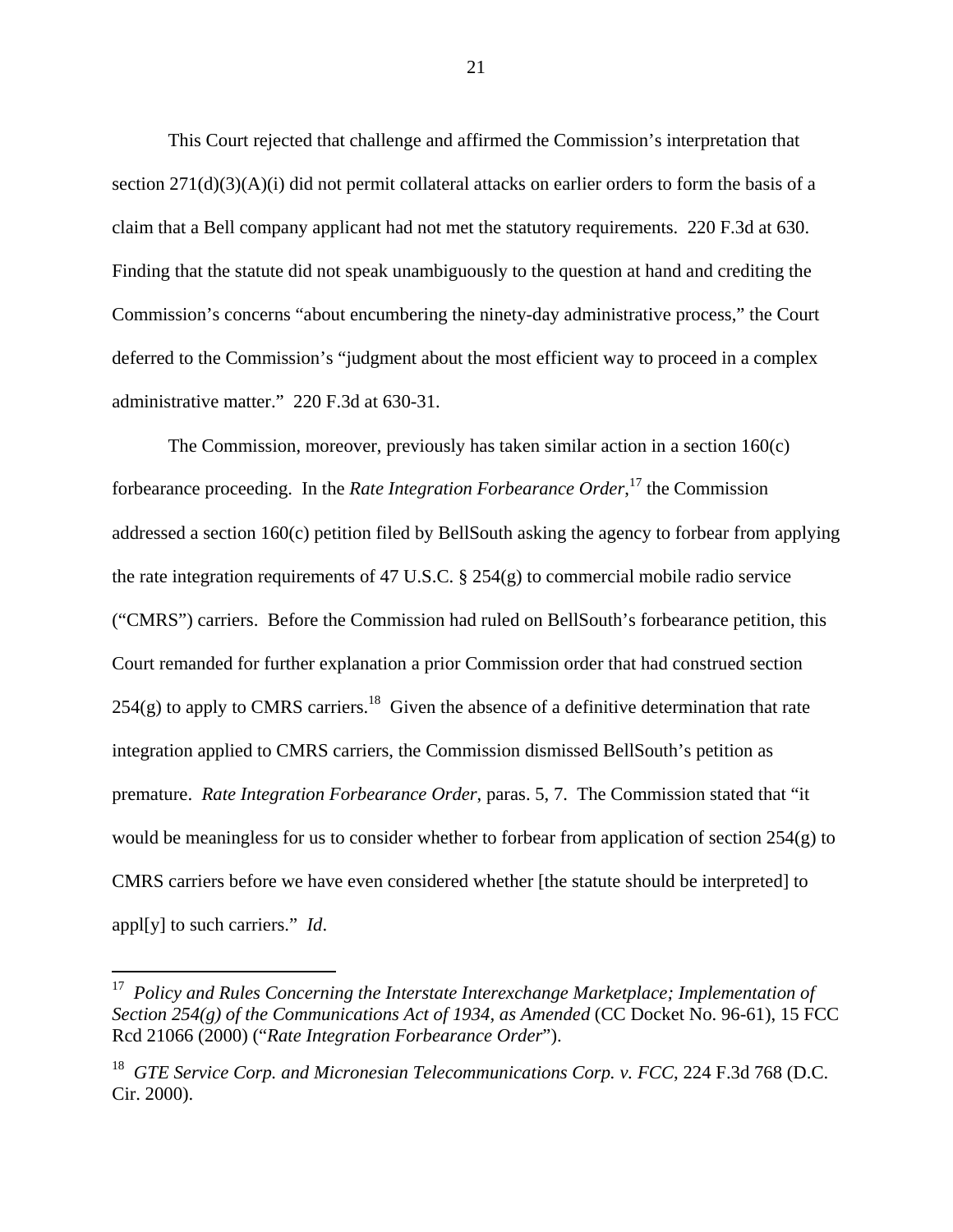This Court rejected that challenge and affirmed the Commission's interpretation that section  $271(d)(3)(A)(i)$  did not permit collateral attacks on earlier orders to form the basis of a claim that a Bell company applicant had not met the statutory requirements. 220 F.3d at 630. Finding that the statute did not speak unambiguously to the question at hand and crediting the Commission's concerns "about encumbering the ninety-day administrative process," the Court deferred to the Commission's "judgment about the most efficient way to proceed in a complex administrative matter." 220 F.3d at 630-31.

The Commission, moreover, previously has taken similar action in a section 160(c) forbearance proceeding. In the *Rate Integration Forbearance Order*, <sup>17</sup> the Commission addressed a section 160(c) petition filed by BellSouth asking the agency to forbear from applying the rate integration requirements of 47 U.S.C. § 254(g) to commercial mobile radio service ("CMRS") carriers. Before the Commission had ruled on BellSouth's forbearance petition, this Court remanded for further explanation a prior Commission order that had construed section  $254(g)$  to apply to CMRS carriers.<sup>18</sup> Given the absence of a definitive determination that rate integration applied to CMRS carriers, the Commission dismissed BellSouth's petition as premature. *Rate Integration Forbearance Order*, paras. 5, 7. The Commission stated that "it would be meaningless for us to consider whether to forbear from application of section 254(g) to CMRS carriers before we have even considered whether [the statute should be interpreted] to appl[y] to such carriers." *Id*.

 $\overline{a}$ 

<sup>17</sup> *Policy and Rules Concerning the Interstate Interexchange Marketplace; Implementation of Section 254(g) of the Communications Act of 1934, as Amended* (CC Docket No. 96-61), 15 FCC Rcd 21066 (2000) ("*Rate Integration Forbearance Order*").

<sup>&</sup>lt;sup>18</sup> *GTE Service Corp. and Micronesian Telecommunications Corp. v. FCC*, 224 F.3d 768 (D.C. Cir. 2000).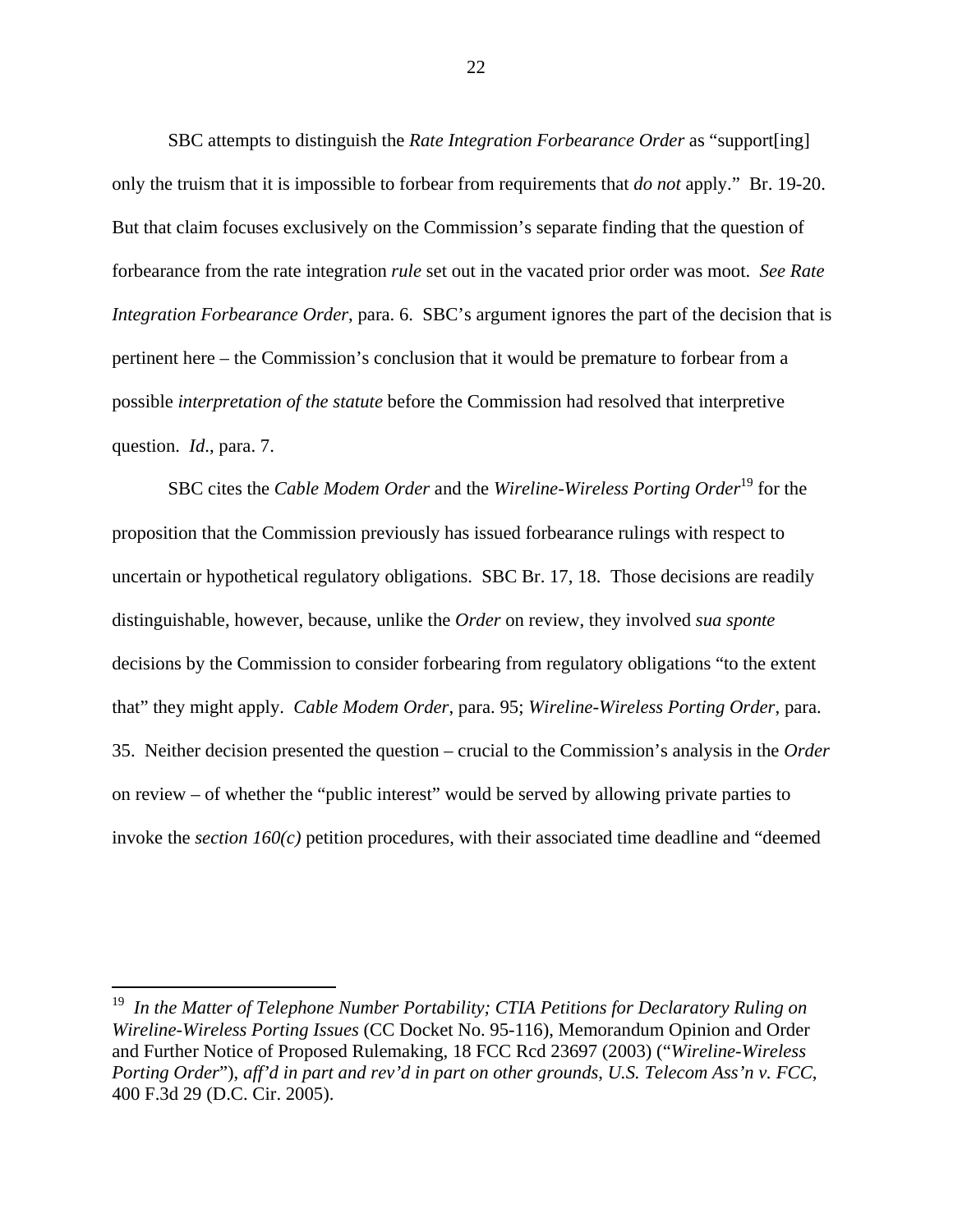SBC attempts to distinguish the *Rate Integration Forbearance Order* as "support[ing] only the truism that it is impossible to forbear from requirements that *do not* apply." Br. 19-20. But that claim focuses exclusively on the Commission's separate finding that the question of forbearance from the rate integration *rule* set out in the vacated prior order was moot. *See Rate Integration Forbearance Order*, para. 6. SBC's argument ignores the part of the decision that is pertinent here – the Commission's conclusion that it would be premature to forbear from a possible *interpretation of the statute* before the Commission had resolved that interpretive question. *Id*., para. 7.

SBC cites the *Cable Modem Order* and the *Wireline-Wireless Porting Order*19 for the proposition that the Commission previously has issued forbearance rulings with respect to uncertain or hypothetical regulatory obligations. SBC Br. 17, 18. Those decisions are readily distinguishable, however, because, unlike the *Order* on review, they involved *sua sponte* decisions by the Commission to consider forbearing from regulatory obligations "to the extent that" they might apply. *Cable Modem Order*, para. 95; *Wireline-Wireless Porting Order*, para. 35. Neither decision presented the question – crucial to the Commission's analysis in the *Order* on review – of whether the "public interest" would be served by allowing private parties to invoke the *section 160(c)* petition procedures, with their associated time deadline and "deemed

l

<sup>&</sup>lt;sup>19</sup> In the Matter of Telephone Number Portability; CTIA Petitions for Declaratory Ruling on *Wireline-Wireless Porting Issues* (CC Docket No. 95-116), Memorandum Opinion and Order and Further Notice of Proposed Rulemaking, 18 FCC Rcd 23697 (2003) ("*Wireline-Wireless Porting Order*"), *aff'd in part and rev'd in part on other grounds*, *U.S. Telecom Ass'n v. FCC*, 400 F.3d 29 (D.C. Cir. 2005).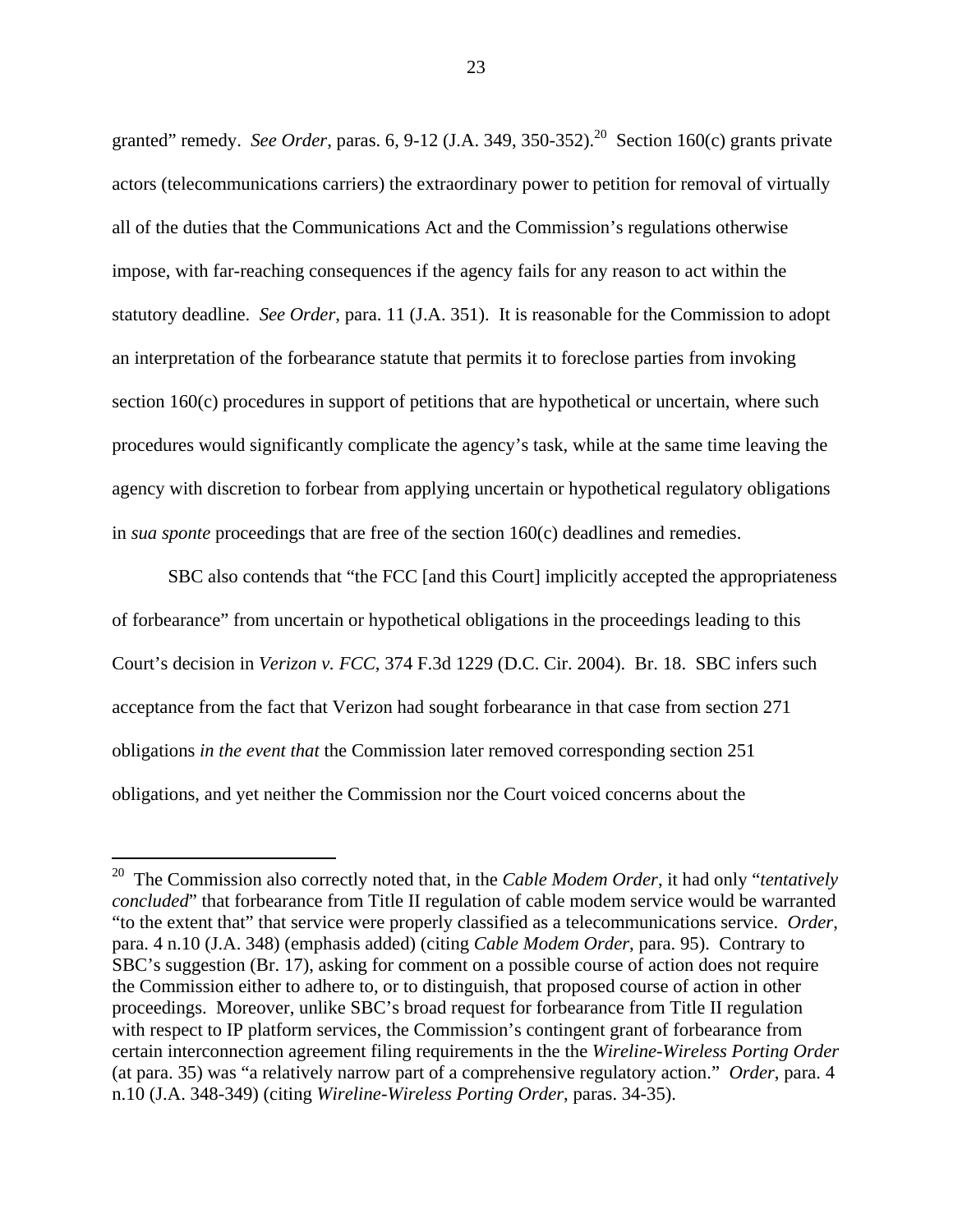granted" remedy. *See Order*, paras. 6, 9-12 (J.A. 349, 350-352).<sup>20</sup> Section 160(c) grants private actors (telecommunications carriers) the extraordinary power to petition for removal of virtually all of the duties that the Communications Act and the Commission's regulations otherwise impose, with far-reaching consequences if the agency fails for any reason to act within the statutory deadline. *See Order*, para. 11 (J.A. 351). It is reasonable for the Commission to adopt an interpretation of the forbearance statute that permits it to foreclose parties from invoking section 160(c) procedures in support of petitions that are hypothetical or uncertain, where such procedures would significantly complicate the agency's task, while at the same time leaving the agency with discretion to forbear from applying uncertain or hypothetical regulatory obligations in *sua sponte* proceedings that are free of the section 160(c) deadlines and remedies.

SBC also contends that "the FCC [and this Court] implicitly accepted the appropriateness of forbearance" from uncertain or hypothetical obligations in the proceedings leading to this Court's decision in *Verizon v. FCC*, 374 F.3d 1229 (D.C. Cir. 2004). Br. 18. SBC infers such acceptance from the fact that Verizon had sought forbearance in that case from section 271 obligations *in the event that* the Commission later removed corresponding section 251 obligations, and yet neither the Commission nor the Court voiced concerns about the

l

<sup>20</sup> The Commission also correctly noted that, in the *Cable Modem Order*, it had only "*tentatively concluded*" that forbearance from Title II regulation of cable modem service would be warranted "to the extent that" that service were properly classified as a telecommunications service. *Order*, para. 4 n.10 (J.A. 348) (emphasis added) (citing *Cable Modem Order*, para. 95). Contrary to SBC's suggestion (Br. 17), asking for comment on a possible course of action does not require the Commission either to adhere to, or to distinguish, that proposed course of action in other proceedings. Moreover, unlike SBC's broad request for forbearance from Title II regulation with respect to IP platform services, the Commission's contingent grant of forbearance from certain interconnection agreement filing requirements in the the *Wireline-Wireless Porting Order* (at para. 35) was "a relatively narrow part of a comprehensive regulatory action." *Order*, para. 4 n.10 (J.A. 348-349) (citing *Wireline-Wireless Porting Order*, paras. 34-35).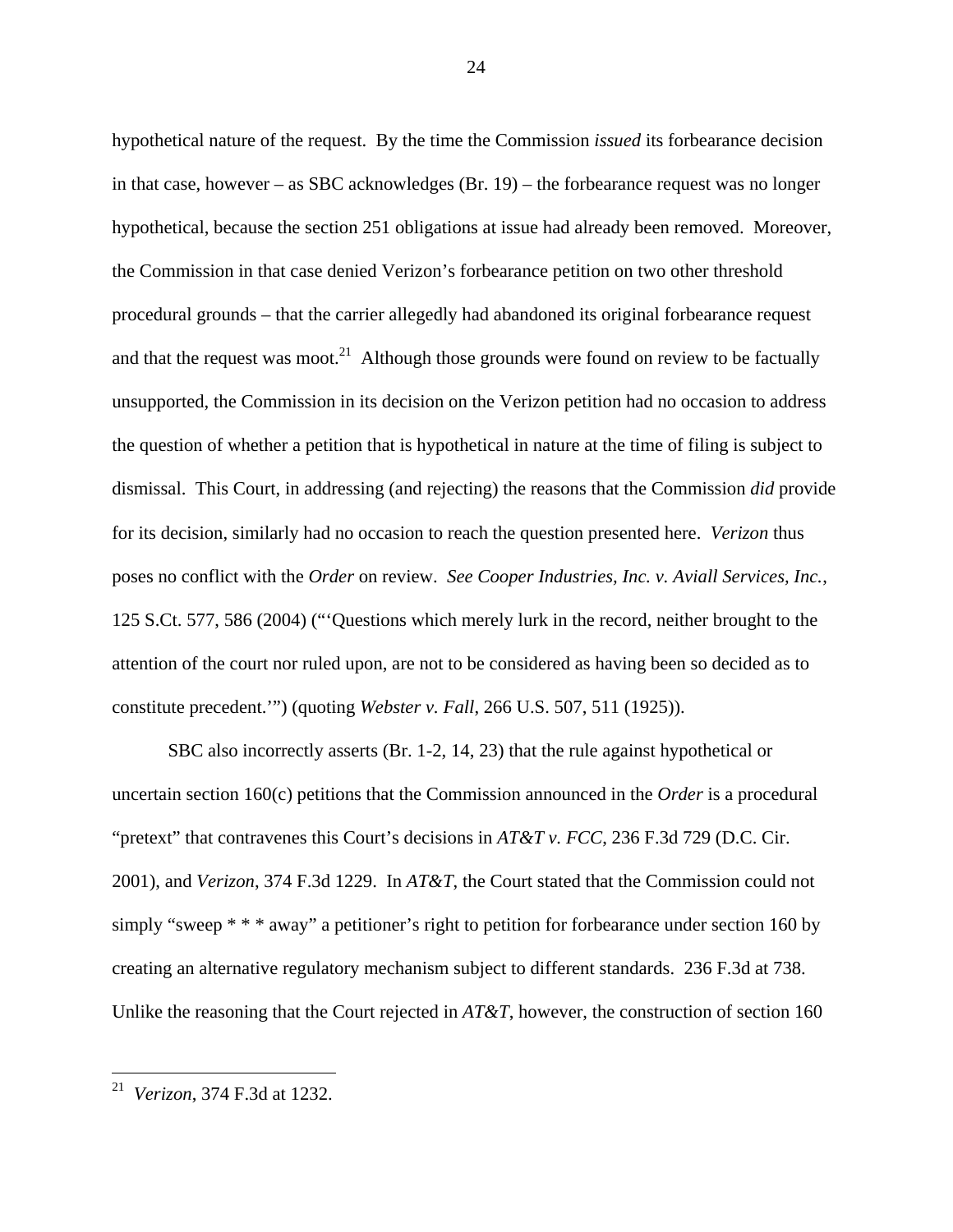hypothetical nature of the request. By the time the Commission *issued* its forbearance decision in that case, however – as SBC acknowledges (Br. 19) – the forbearance request was no longer hypothetical, because the section 251 obligations at issue had already been removed. Moreover, the Commission in that case denied Verizon's forbearance petition on two other threshold procedural grounds – that the carrier allegedly had abandoned its original forbearance request and that the request was moot.<sup>21</sup> Although those grounds were found on review to be factually unsupported, the Commission in its decision on the Verizon petition had no occasion to address the question of whether a petition that is hypothetical in nature at the time of filing is subject to dismissal. This Court, in addressing (and rejecting) the reasons that the Commission *did* provide for its decision, similarly had no occasion to reach the question presented here. *Verizon* thus poses no conflict with the *Order* on review. *See Cooper Industries, Inc. v. Aviall Services, Inc.*, 125 S.Ct. 577, 586 (2004) ("'Questions which merely lurk in the record, neither brought to the attention of the court nor ruled upon, are not to be considered as having been so decided as to constitute precedent.'") (quoting *Webster v. Fall*, 266 U.S. 507, 511 (1925)).

SBC also incorrectly asserts (Br. 1-2, 14, 23) that the rule against hypothetical or uncertain section 160(c) petitions that the Commission announced in the *Order* is a procedural "pretext" that contravenes this Court's decisions in *AT&T v. FCC*, 236 F.3d 729 (D.C. Cir. 2001), and *Verizon*, 374 F.3d 1229. In *AT&T*, the Court stated that the Commission could not simply "sweep  $* * *$  away" a petitioner's right to petition for forbearance under section 160 by creating an alternative regulatory mechanism subject to different standards. 236 F.3d at 738. Unlike the reasoning that the Court rejected in *AT&T*, however, the construction of section 160

l

<sup>21</sup> *Verizon*, 374 F.3d at 1232.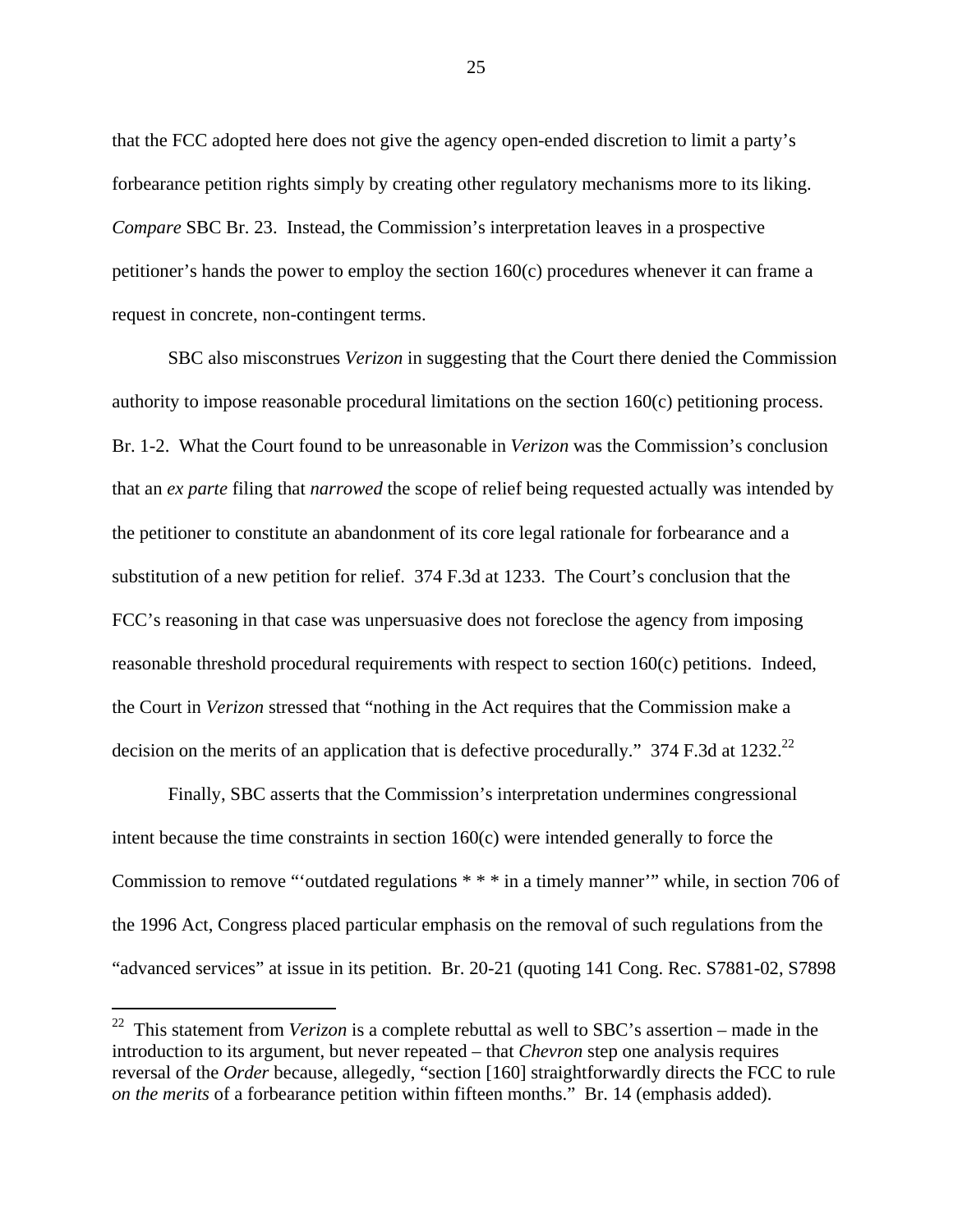that the FCC adopted here does not give the agency open-ended discretion to limit a party's forbearance petition rights simply by creating other regulatory mechanisms more to its liking. *Compare* SBC Br. 23. Instead, the Commission's interpretation leaves in a prospective petitioner's hands the power to employ the section 160(c) procedures whenever it can frame a request in concrete, non-contingent terms.

SBC also misconstrues *Verizon* in suggesting that the Court there denied the Commission authority to impose reasonable procedural limitations on the section 160(c) petitioning process. Br. 1-2. What the Court found to be unreasonable in *Verizon* was the Commission's conclusion that an *ex parte* filing that *narrowed* the scope of relief being requested actually was intended by the petitioner to constitute an abandonment of its core legal rationale for forbearance and a substitution of a new petition for relief. 374 F.3d at 1233. The Court's conclusion that the FCC's reasoning in that case was unpersuasive does not foreclose the agency from imposing reasonable threshold procedural requirements with respect to section 160(c) petitions. Indeed, the Court in *Verizon* stressed that "nothing in the Act requires that the Commission make a decision on the merits of an application that is defective procedurally." 374 F.3d at  $1232.^{22}$ 

Finally, SBC asserts that the Commission's interpretation undermines congressional intent because the time constraints in section 160(c) were intended generally to force the Commission to remove "'outdated regulations \* \* \* in a timely manner'" while, in section 706 of the 1996 Act, Congress placed particular emphasis on the removal of such regulations from the "advanced services" at issue in its petition. Br. 20-21 (quoting 141 Cong. Rec. S7881-02, S7898

 $\overline{a}$ 

<sup>22</sup> This statement from *Verizon* is a complete rebuttal as well to SBC's assertion – made in the introduction to its argument, but never repeated – that *Chevron* step one analysis requires reversal of the *Order* because, allegedly, "section [160] straightforwardly directs the FCC to rule *on the merits* of a forbearance petition within fifteen months." Br. 14 (emphasis added).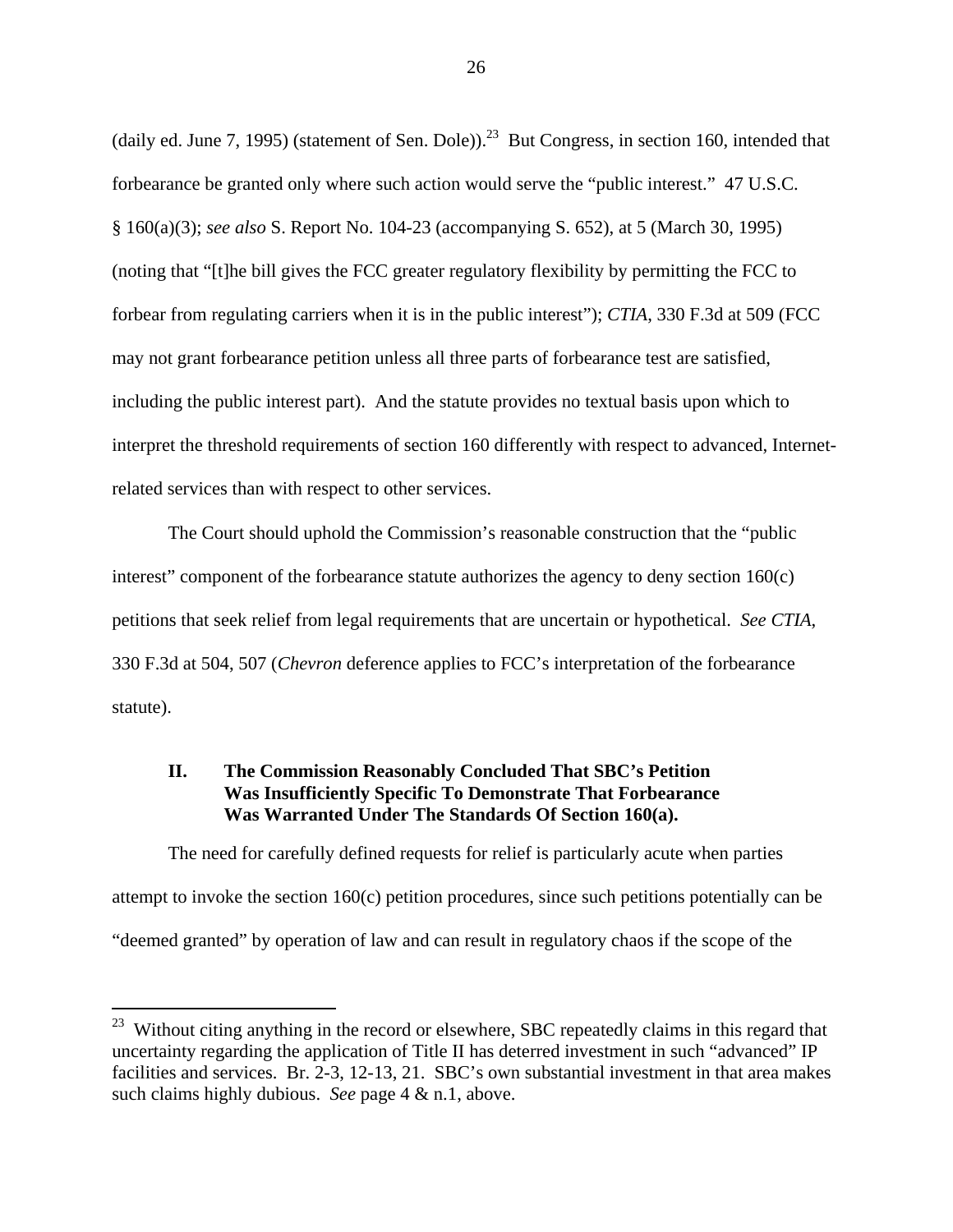(daily ed. June 7, 1995) (statement of Sen. Dole)).<sup>23</sup> But Congress, in section 160, intended that forbearance be granted only where such action would serve the "public interest." 47 U.S.C. § 160(a)(3); *see also* S. Report No. 104-23 (accompanying S. 652), at 5 (March 30, 1995) (noting that "[t]he bill gives the FCC greater regulatory flexibility by permitting the FCC to forbear from regulating carriers when it is in the public interest"); *CTIA*, 330 F.3d at 509 (FCC may not grant forbearance petition unless all three parts of forbearance test are satisfied, including the public interest part). And the statute provides no textual basis upon which to interpret the threshold requirements of section 160 differently with respect to advanced, Internetrelated services than with respect to other services.

The Court should uphold the Commission's reasonable construction that the "public interest" component of the forbearance statute authorizes the agency to deny section 160(c) petitions that seek relief from legal requirements that are uncertain or hypothetical. *See CTIA*, 330 F.3d at 504, 507 (*Chevron* deference applies to FCC's interpretation of the forbearance statute).

## **II. The Commission Reasonably Concluded That SBC's Petition Was Insufficiently Specific To Demonstrate That Forbearance Was Warranted Under The Standards Of Section 160(a).**

The need for carefully defined requests for relief is particularly acute when parties attempt to invoke the section 160(c) petition procedures, since such petitions potentially can be "deemed granted" by operation of law and can result in regulatory chaos if the scope of the

 $\overline{a}$ 

<sup>&</sup>lt;sup>23</sup> Without citing anything in the record or elsewhere, SBC repeatedly claims in this regard that uncertainty regarding the application of Title II has deterred investment in such "advanced" IP facilities and services. Br. 2-3, 12-13, 21. SBC's own substantial investment in that area makes such claims highly dubious. *See* page 4 & n.1, above.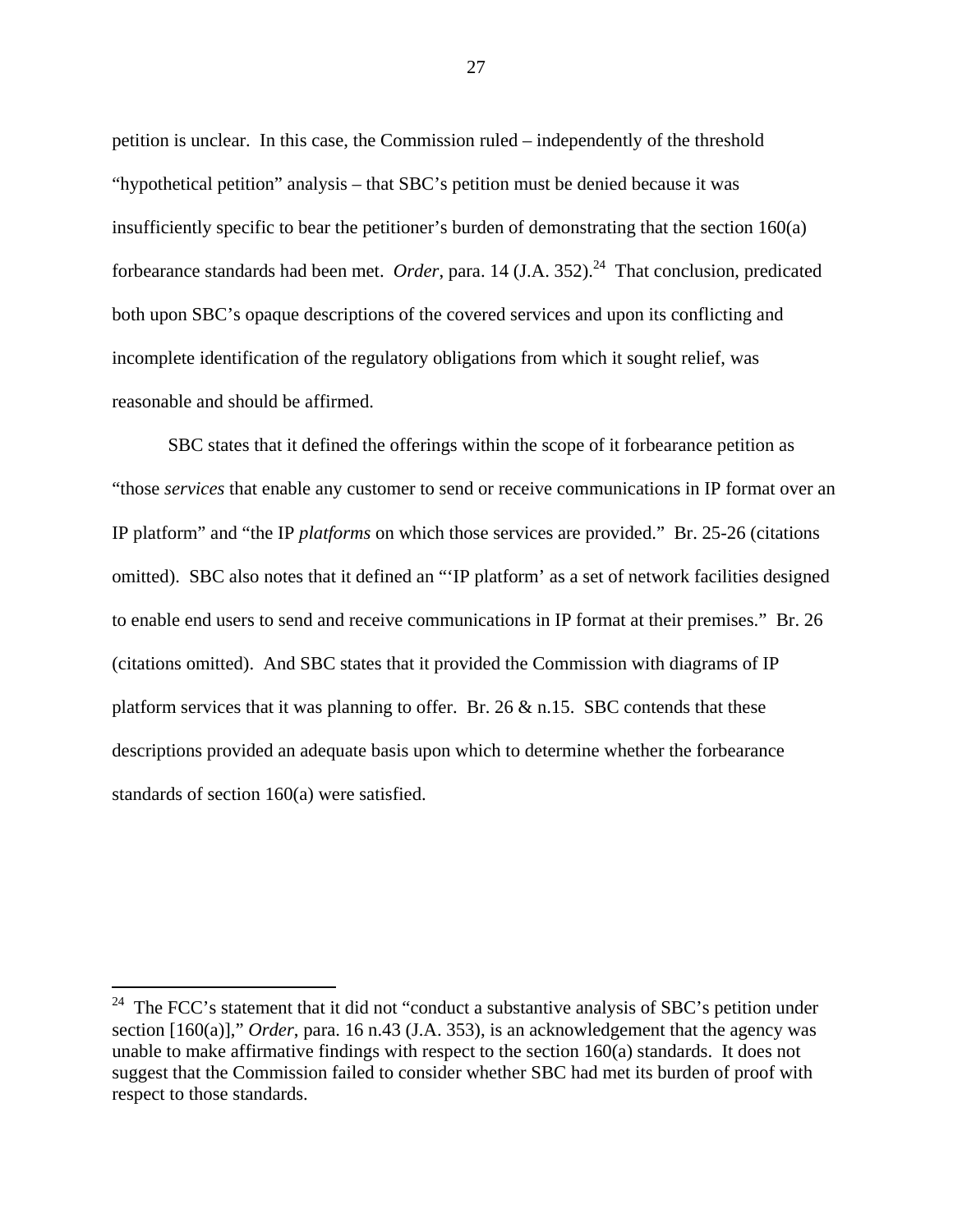petition is unclear. In this case, the Commission ruled – independently of the threshold "hypothetical petition" analysis – that SBC's petition must be denied because it was insufficiently specific to bear the petitioner's burden of demonstrating that the section 160(a) forbearance standards had been met. *Order*, para. 14 (J.A. 352).<sup>24</sup> That conclusion, predicated both upon SBC's opaque descriptions of the covered services and upon its conflicting and incomplete identification of the regulatory obligations from which it sought relief, was reasonable and should be affirmed.

SBC states that it defined the offerings within the scope of it forbearance petition as "those *services* that enable any customer to send or receive communications in IP format over an IP platform" and "the IP *platforms* on which those services are provided." Br. 25-26 (citations omitted). SBC also notes that it defined an "'IP platform' as a set of network facilities designed to enable end users to send and receive communications in IP format at their premises." Br. 26 (citations omitted). And SBC states that it provided the Commission with diagrams of IP platform services that it was planning to offer. Br.  $26 \& n.15$ . SBC contends that these descriptions provided an adequate basis upon which to determine whether the forbearance standards of section 160(a) were satisfied.

l

<sup>&</sup>lt;sup>24</sup> The FCC's statement that it did not "conduct a substantive analysis of SBC's petition under section [160(a)]," *Order*, para. 16 n.43 (J.A. 353), is an acknowledgement that the agency was unable to make affirmative findings with respect to the section 160(a) standards. It does not suggest that the Commission failed to consider whether SBC had met its burden of proof with respect to those standards.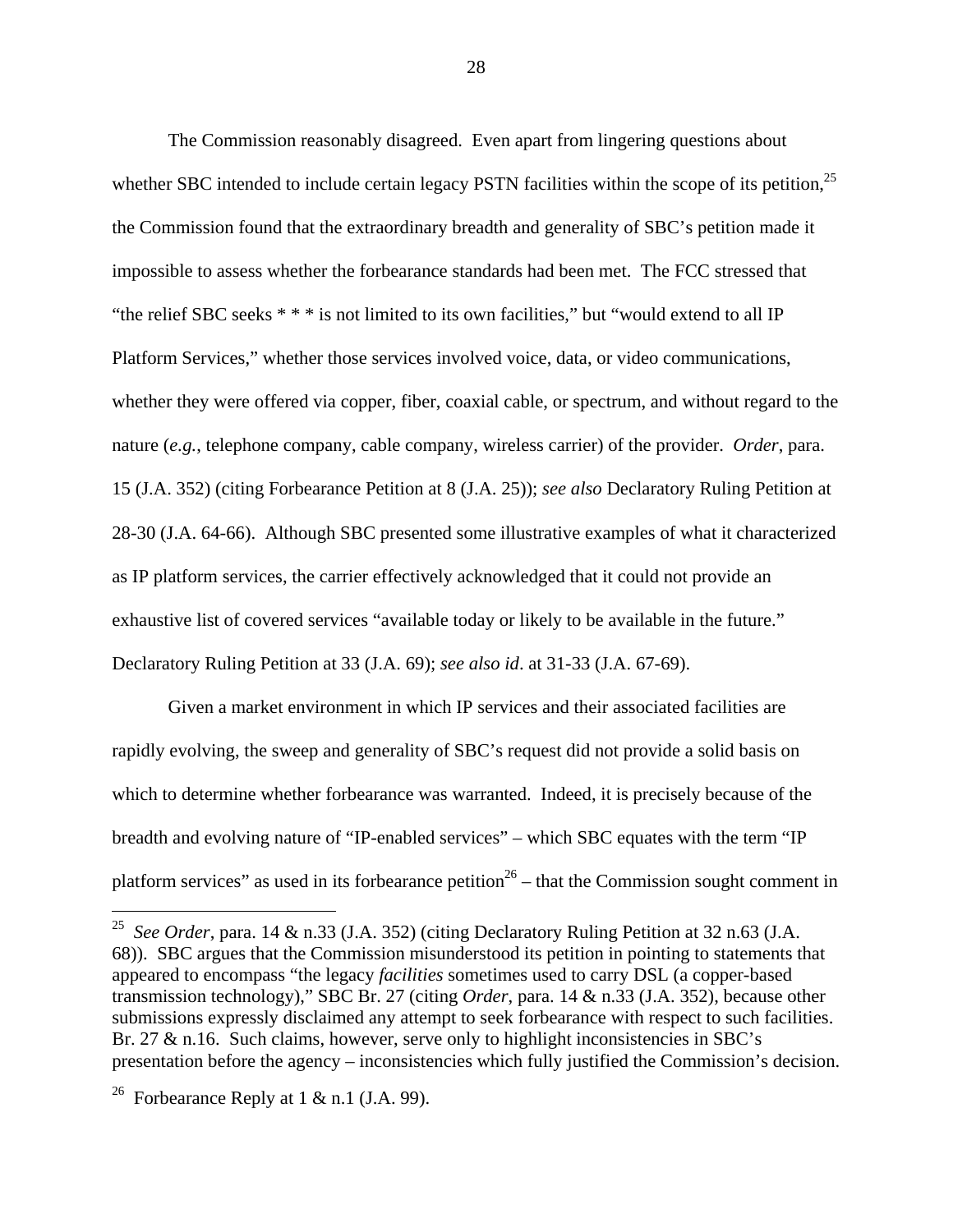The Commission reasonably disagreed. Even apart from lingering questions about whether SBC intended to include certain legacy PSTN facilities within the scope of its petition,  $2<sup>5</sup>$ the Commission found that the extraordinary breadth and generality of SBC's petition made it impossible to assess whether the forbearance standards had been met. The FCC stressed that "the relief SBC seeks \* \* \* is not limited to its own facilities," but "would extend to all IP Platform Services," whether those services involved voice, data, or video communications, whether they were offered via copper, fiber, coaxial cable, or spectrum, and without regard to the nature (*e.g.*, telephone company, cable company, wireless carrier) of the provider. *Order*, para. 15 (J.A. 352) (citing Forbearance Petition at 8 (J.A. 25)); *see also* Declaratory Ruling Petition at 28-30 (J.A. 64-66). Although SBC presented some illustrative examples of what it characterized as IP platform services, the carrier effectively acknowledged that it could not provide an exhaustive list of covered services "available today or likely to be available in the future." Declaratory Ruling Petition at 33 (J.A. 69); *see also id*. at 31-33 (J.A. 67-69).

Given a market environment in which IP services and their associated facilities are rapidly evolving, the sweep and generality of SBC's request did not provide a solid basis on which to determine whether forbearance was warranted. Indeed, it is precisely because of the breadth and evolving nature of "IP-enabled services" – which SBC equates with the term "IP platform services" as used in its forbearance petition<sup>26</sup> – that the Commission sought comment in

 $\overline{a}$ 

<sup>25</sup> *See Order*, para. 14 & n.33 (J.A. 352) (citing Declaratory Ruling Petition at 32 n.63 (J.A. 68)). SBC argues that the Commission misunderstood its petition in pointing to statements that appeared to encompass "the legacy *facilities* sometimes used to carry DSL (a copper-based transmission technology)," SBC Br. 27 (citing *Order*, para. 14 & n.33 (J.A. 352), because other submissions expressly disclaimed any attempt to seek forbearance with respect to such facilities. Br. 27 & n.16. Such claims, however, serve only to highlight inconsistencies in SBC's presentation before the agency – inconsistencies which fully justified the Commission's decision.

<sup>&</sup>lt;sup>26</sup> Forbearance Reply at 1 & n.1 (J.A. 99).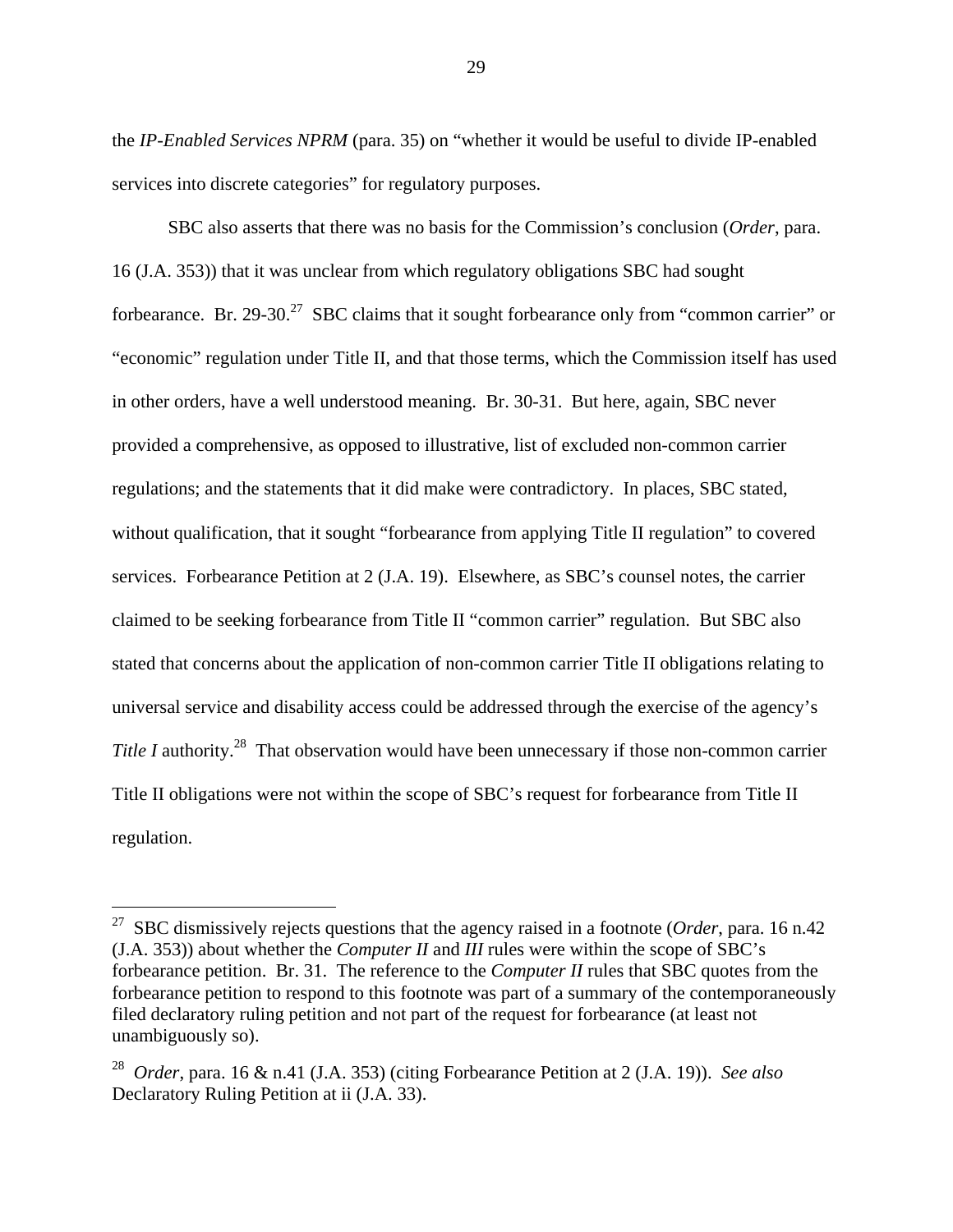the *IP-Enabled Services NPRM* (para. 35) on "whether it would be useful to divide IP-enabled services into discrete categories" for regulatory purposes.

SBC also asserts that there was no basis for the Commission's conclusion (*Order*, para. 16 (J.A. 353)) that it was unclear from which regulatory obligations SBC had sought forbearance. Br. 29-30.<sup>27</sup> SBC claims that it sought forbearance only from "common carrier" or "economic" regulation under Title II, and that those terms, which the Commission itself has used in other orders, have a well understood meaning. Br. 30-31. But here, again, SBC never provided a comprehensive, as opposed to illustrative, list of excluded non-common carrier regulations; and the statements that it did make were contradictory. In places, SBC stated, without qualification, that it sought "forbearance from applying Title II regulation" to covered services. Forbearance Petition at 2 (J.A. 19). Elsewhere, as SBC's counsel notes, the carrier claimed to be seeking forbearance from Title II "common carrier" regulation. But SBC also stated that concerns about the application of non-common carrier Title II obligations relating to universal service and disability access could be addressed through the exercise of the agency's *Title I* authority.<sup>28</sup> That observation would have been unnecessary if those non-common carrier Title II obligations were not within the scope of SBC's request for forbearance from Title II regulation.

l

<sup>27</sup> SBC dismissively rejects questions that the agency raised in a footnote (*Order*, para. 16 n.42 (J.A. 353)) about whether the *Computer II* and *III* rules were within the scope of SBC's forbearance petition. Br. 31. The reference to the *Computer II* rules that SBC quotes from the forbearance petition to respond to this footnote was part of a summary of the contemporaneously filed declaratory ruling petition and not part of the request for forbearance (at least not unambiguously so).

<sup>28</sup> *Order*, para. 16 & n.41 (J.A. 353) (citing Forbearance Petition at 2 (J.A. 19)). *See also*  Declaratory Ruling Petition at ii (J.A. 33).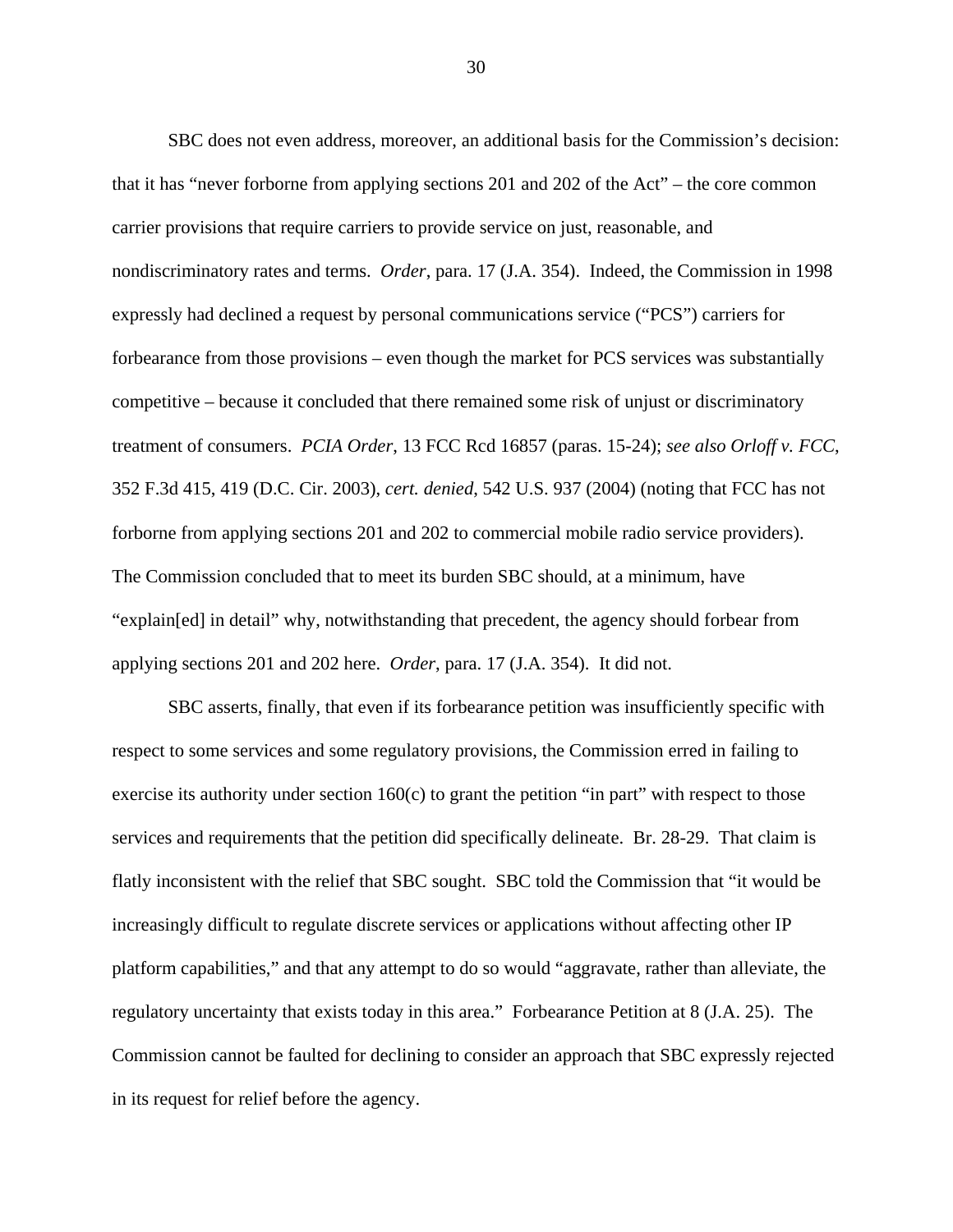SBC does not even address, moreover, an additional basis for the Commission's decision: that it has "never forborne from applying sections 201 and 202 of the Act" – the core common carrier provisions that require carriers to provide service on just, reasonable, and nondiscriminatory rates and terms. *Order*, para. 17 (J.A. 354). Indeed, the Commission in 1998 expressly had declined a request by personal communications service ("PCS") carriers for forbearance from those provisions – even though the market for PCS services was substantially competitive – because it concluded that there remained some risk of unjust or discriminatory treatment of consumers. *PCIA Order*, 13 FCC Rcd 16857 (paras. 15-24); *see also Orloff v. FCC*, 352 F.3d 415, 419 (D.C. Cir. 2003), *cert. denied*, 542 U.S. 937 (2004) (noting that FCC has not forborne from applying sections 201 and 202 to commercial mobile radio service providers). The Commission concluded that to meet its burden SBC should, at a minimum, have "explain[ed] in detail" why, notwithstanding that precedent, the agency should forbear from applying sections 201 and 202 here. *Order*, para. 17 (J.A. 354). It did not.

SBC asserts, finally, that even if its forbearance petition was insufficiently specific with respect to some services and some regulatory provisions, the Commission erred in failing to exercise its authority under section 160(c) to grant the petition "in part" with respect to those services and requirements that the petition did specifically delineate. Br. 28-29. That claim is flatly inconsistent with the relief that SBC sought. SBC told the Commission that "it would be increasingly difficult to regulate discrete services or applications without affecting other IP platform capabilities," and that any attempt to do so would "aggravate, rather than alleviate, the regulatory uncertainty that exists today in this area." Forbearance Petition at 8 (J.A. 25). The Commission cannot be faulted for declining to consider an approach that SBC expressly rejected in its request for relief before the agency.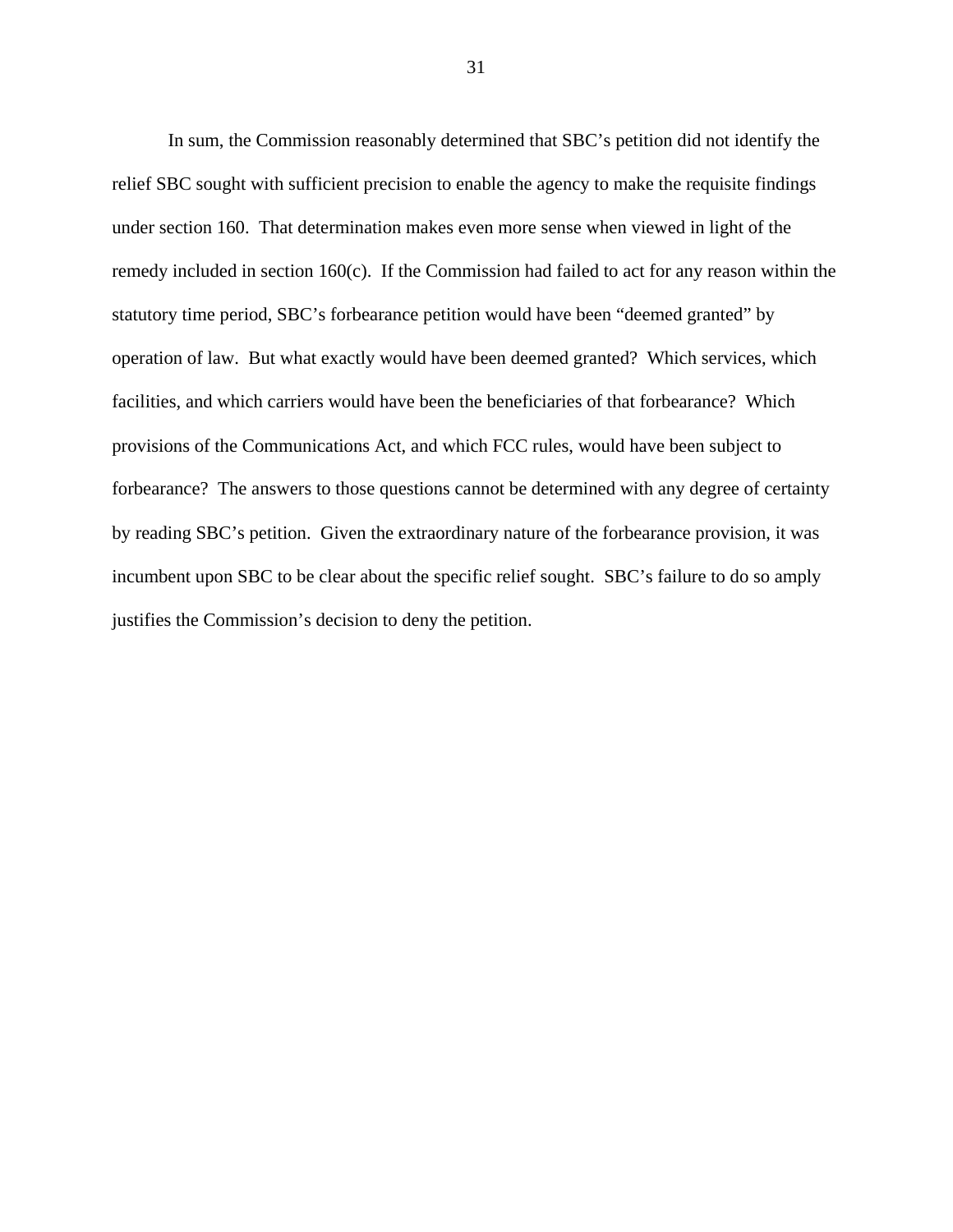In sum, the Commission reasonably determined that SBC's petition did not identify the relief SBC sought with sufficient precision to enable the agency to make the requisite findings under section 160. That determination makes even more sense when viewed in light of the remedy included in section 160(c). If the Commission had failed to act for any reason within the statutory time period, SBC's forbearance petition would have been "deemed granted" by operation of law. But what exactly would have been deemed granted? Which services, which facilities, and which carriers would have been the beneficiaries of that forbearance? Which provisions of the Communications Act, and which FCC rules, would have been subject to forbearance? The answers to those questions cannot be determined with any degree of certainty by reading SBC's petition. Given the extraordinary nature of the forbearance provision, it was incumbent upon SBC to be clear about the specific relief sought. SBC's failure to do so amply justifies the Commission's decision to deny the petition.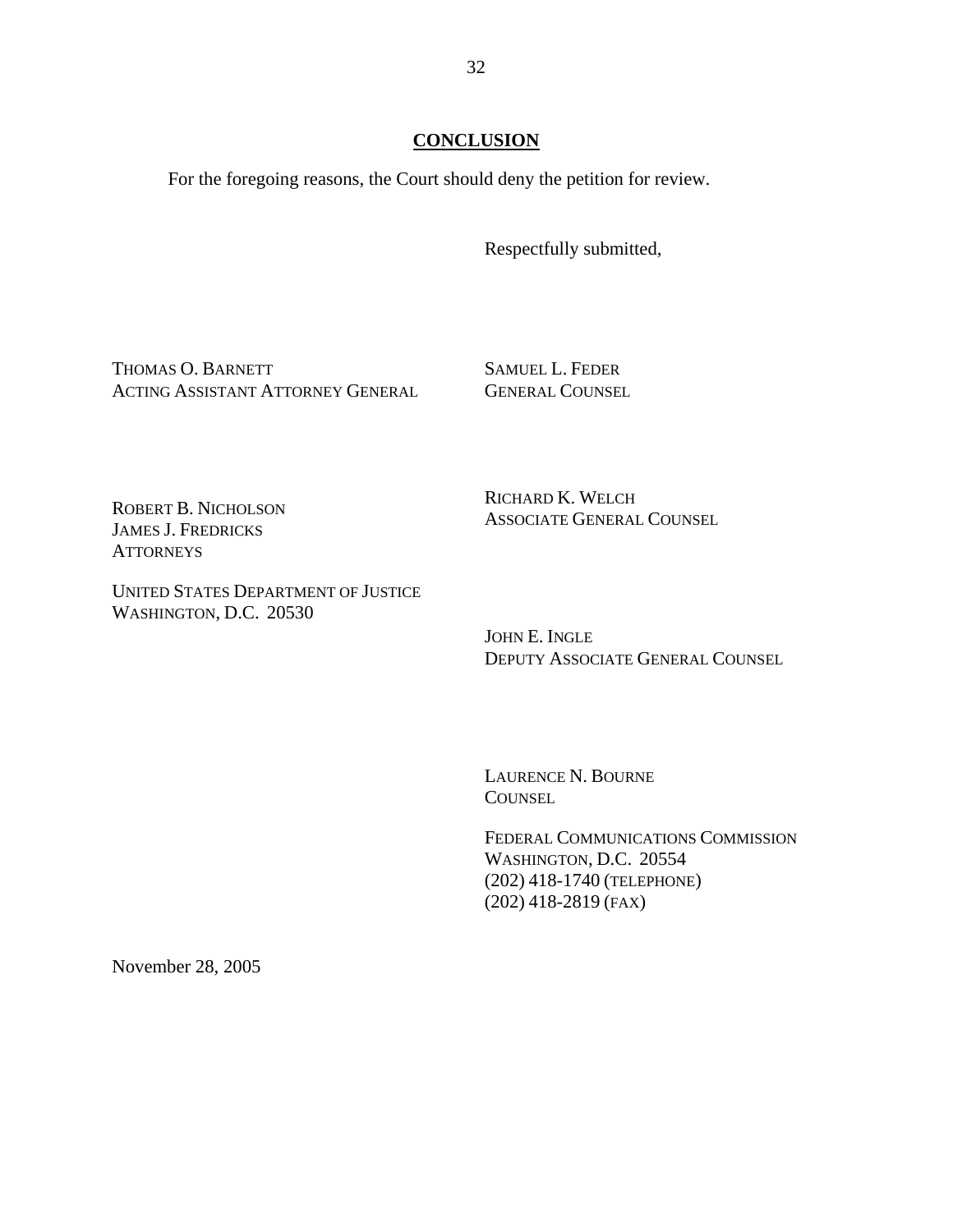## **CONCLUSION**

For the foregoing reasons, the Court should deny the petition for review.

Respectfully submitted,

THOMAS O. BARNETT ACTING ASSISTANT ATTORNEY GENERAL SAMUEL L. FEDER GENERAL COUNSEL

ROBERT B. NICHOLSON JAMES J. FREDRICKS **ATTORNEYS** 

RICHARD K. WELCH ASSOCIATE GENERAL COUNSEL

UNITED STATES DEPARTMENT OF JUSTICE WASHINGTON, D.C. 20530

> JOHN E. INGLE DEPUTY ASSOCIATE GENERAL COUNSEL

LAURENCE N. BOURNE **COUNSEL** 

FEDERAL COMMUNICATIONS COMMISSION WASHINGTON, D.C. 20554 (202) 418-1740 (TELEPHONE) (202) 418-2819 (FAX)

November 28, 2005